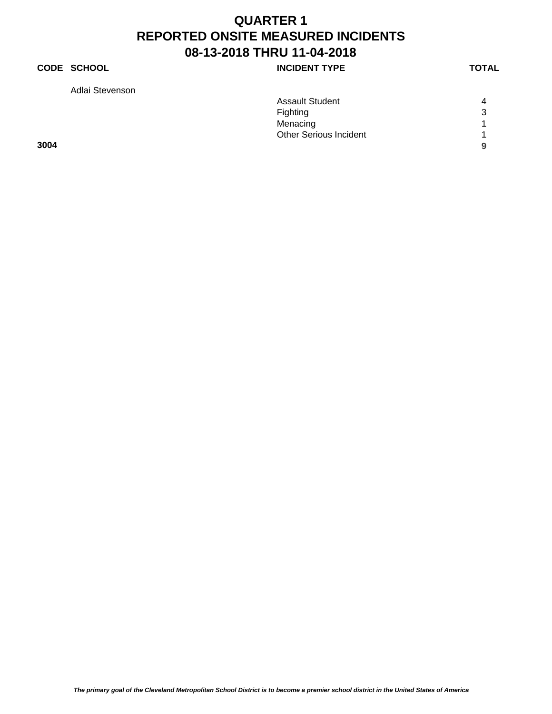### **CODE SCHOOL INCIDENT TYPE**

Adlai Stevenson

|      | <b>Assault Student</b>        | $\overline{4}$ |
|------|-------------------------------|----------------|
|      | Fighting                      | 3              |
|      | Menacing                      | $\overline{A}$ |
|      | <b>Other Serious Incident</b> |                |
| 3004 |                               | 9              |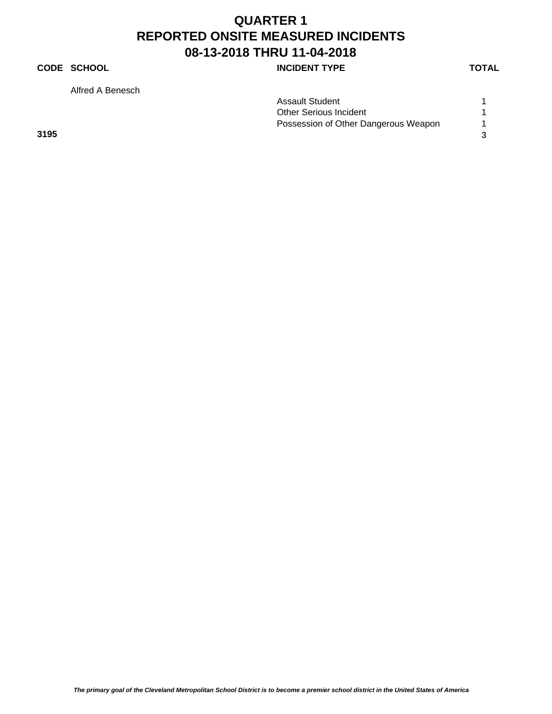### **CODE SCHOOL CODE SCHOOL**

Alfred A Benesch

**3195 3**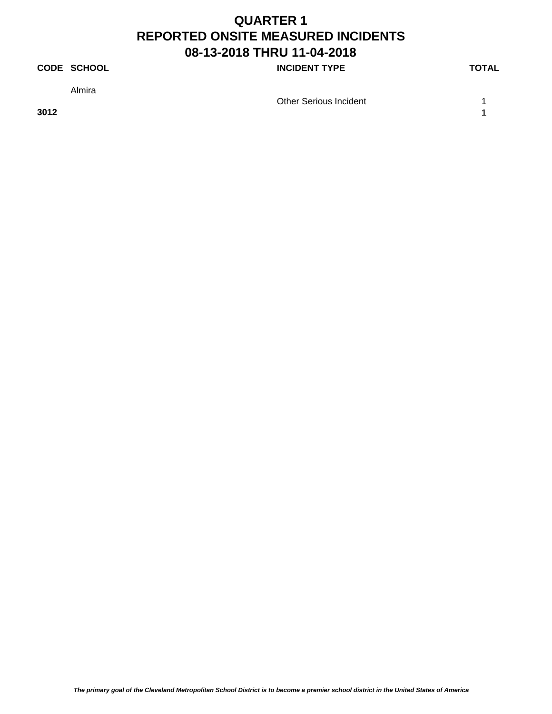### **CODE SCHOOL CODE SCHOOL**

Almira

**3012 1**

Other Serious Incident 1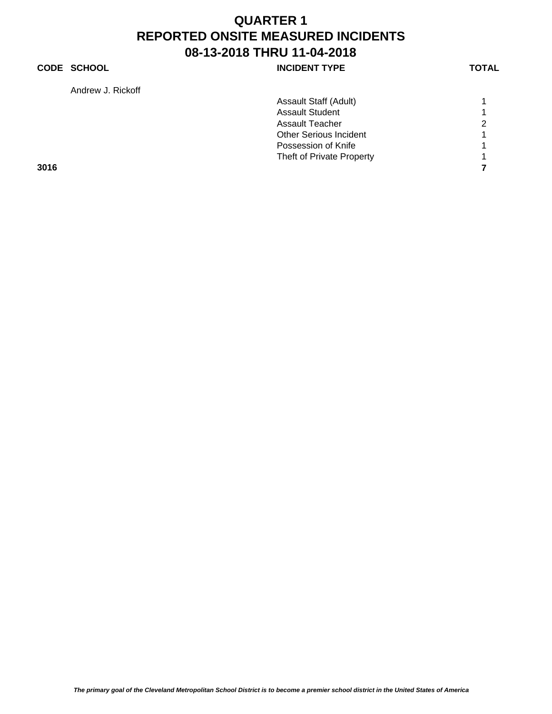### **CODE SCHOOL CODE SCHOOL**

Andrew J. Rickoff

| Andrew J. Rickoll |                               |                |
|-------------------|-------------------------------|----------------|
|                   | Assault Staff (Adult)         |                |
|                   | <b>Assault Student</b>        |                |
|                   | Assault Teacher               | $\overline{2}$ |
|                   | <b>Other Serious Incident</b> |                |
|                   | Possession of Knife           |                |
|                   | Theft of Private Property     |                |
| 3016              |                               |                |
|                   |                               |                |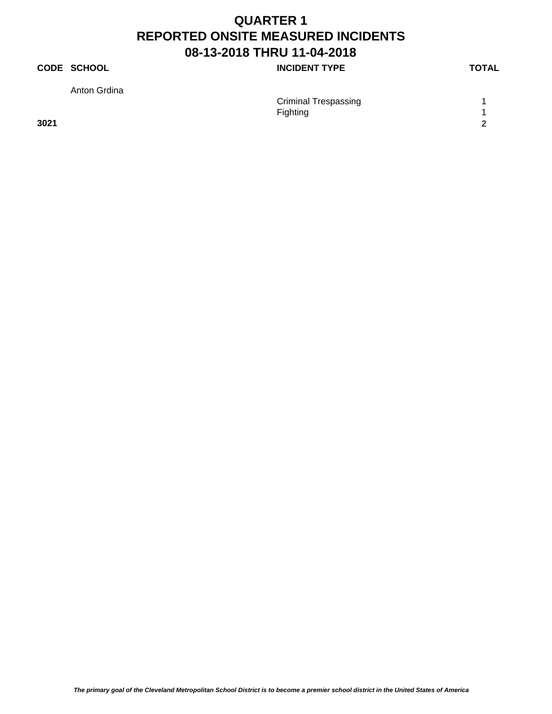### **CODE SCHOOL CODE SCHOOL**

Anton Grdina

| Anton Grdina |                             |  |
|--------------|-----------------------------|--|
|              | <b>Criminal Trespassing</b> |  |
|              | Fighting                    |  |
| 3021         |                             |  |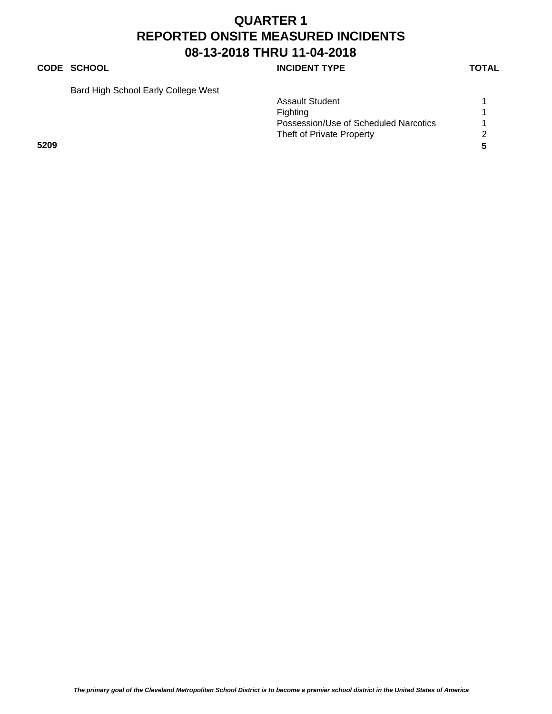#### **CODE SCHOOL CODE SCHOOL**

Bard High School Early College West

|      |  | <b>Assault Student</b>                |    |
|------|--|---------------------------------------|----|
|      |  | Fighting                              |    |
|      |  | Possession/Use of Scheduled Narcotics |    |
|      |  | Theft of Private Property             | 2  |
| 5209 |  |                                       | -5 |
|      |  |                                       |    |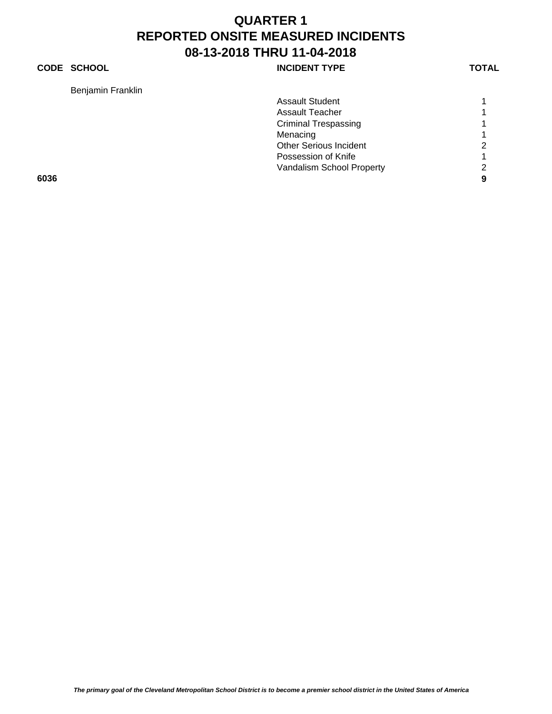#### **CODE SCHOOL CODE SCHOOL**

Benjamin Franklin

| Benjamin Franklin |                               |   |
|-------------------|-------------------------------|---|
|                   | <b>Assault Student</b>        |   |
|                   | Assault Teacher               |   |
|                   | <b>Criminal Trespassing</b>   |   |
|                   | Menacing                      |   |
|                   | <b>Other Serious Incident</b> | 2 |
|                   | Possession of Knife           |   |
|                   | Vandalism School Property     | 2 |
| 6036              |                               | 9 |
|                   |                               |   |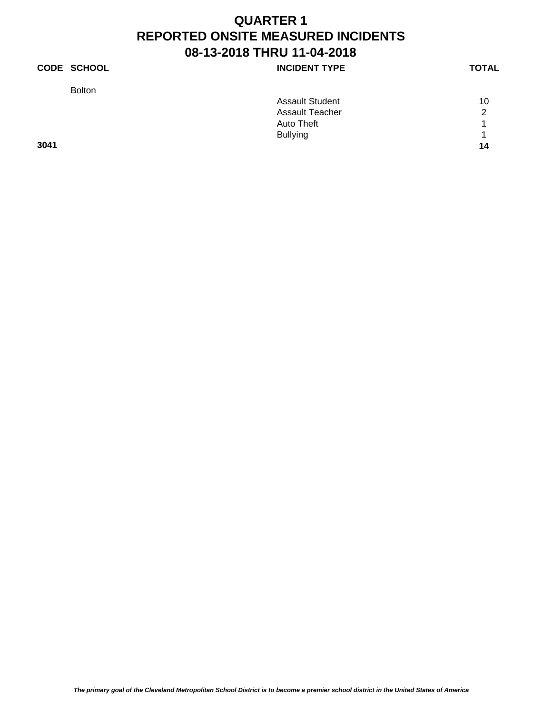### **CODE SCHOOL CODE SCHOOL**

| <b>Bolton</b> |                        |    |
|---------------|------------------------|----|
|               | <b>Assault Student</b> | 10 |
|               | <b>Assault Teacher</b> | ົ  |
|               | Auto Theft             | 1  |
|               | <b>Bullying</b>        | 1  |
| 3041          |                        | 14 |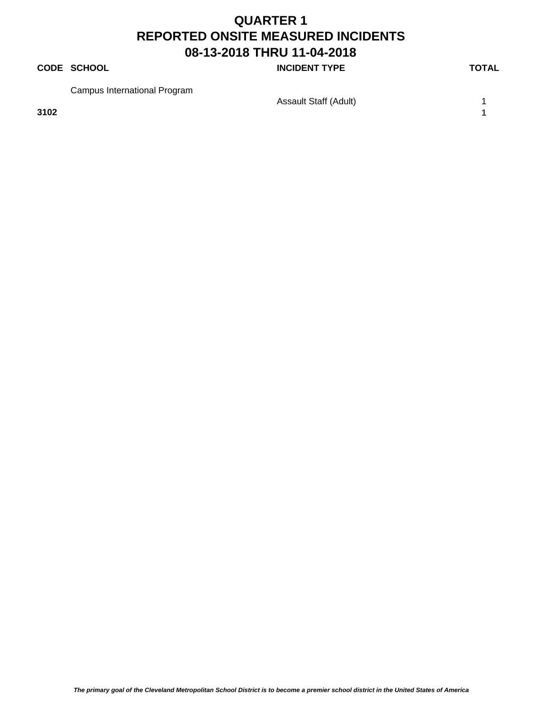#### **CODE SCHOOL CODE SCHOOL**

Campus International Program

**3102 1**

Assault Staff (Adult) 1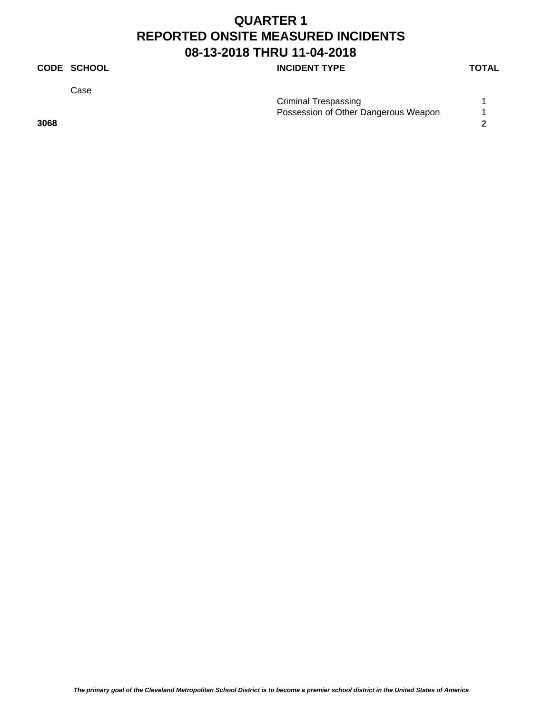### **CODE SCHOOL CODE SCHOOL**

Case

| <b>Criminal Trespassing</b> |                                      |
|-----------------------------|--------------------------------------|
|                             | Possession of Other Dangerous Weapon |
| 3068                        |                                      |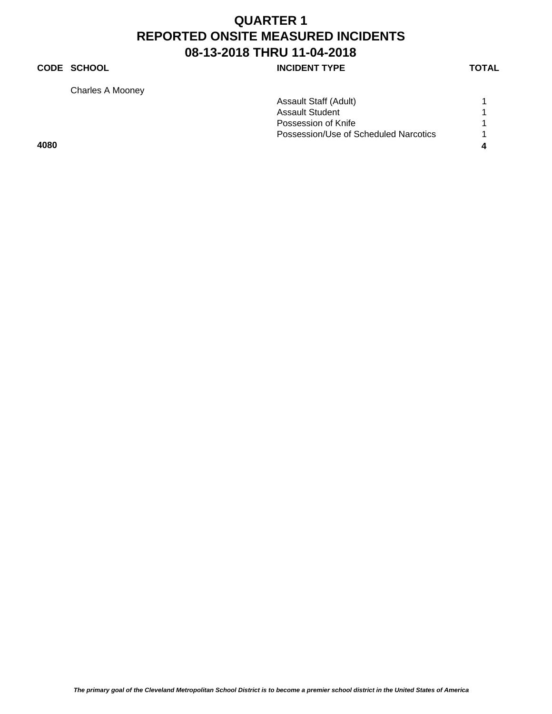### **CODE SCHOOL CODE SCHOOL**

Charles A Mooney

| 4080             |                                       |  |
|------------------|---------------------------------------|--|
|                  | Possession/Use of Scheduled Narcotics |  |
|                  | Possession of Knife                   |  |
|                  | <b>Assault Student</b>                |  |
|                  | Assault Staff (Adult)                 |  |
| Charles A Mooney |                                       |  |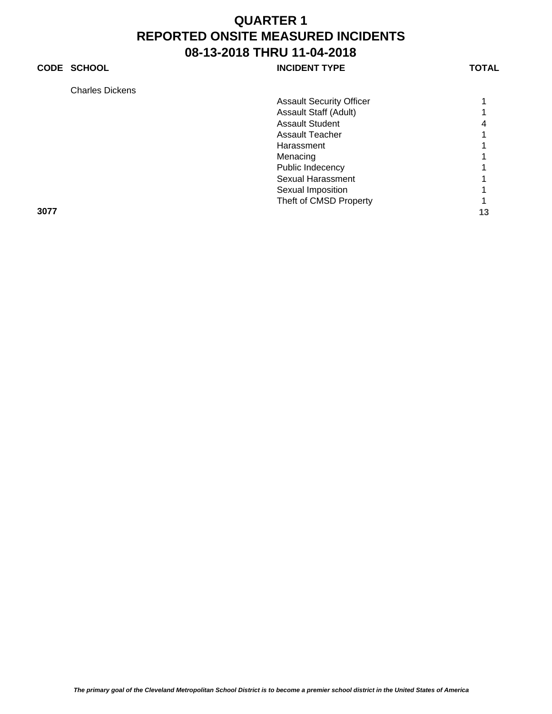### **CODE SCHOOL CODE SCHOOL**

| Charles Dickens |  |
|-----------------|--|
|-----------------|--|

| GHANGS DIGRENS |                                 |    |
|----------------|---------------------------------|----|
|                | <b>Assault Security Officer</b> |    |
|                | Assault Staff (Adult)           |    |
|                | <b>Assault Student</b>          | 4  |
|                | <b>Assault Teacher</b>          |    |
|                | Harassment                      |    |
|                | Menacing                        |    |
|                | Public Indecency                |    |
|                | Sexual Harassment               |    |
|                | Sexual Imposition               |    |
|                | Theft of CMSD Property          |    |
| 3077           |                                 | 13 |
|                |                                 |    |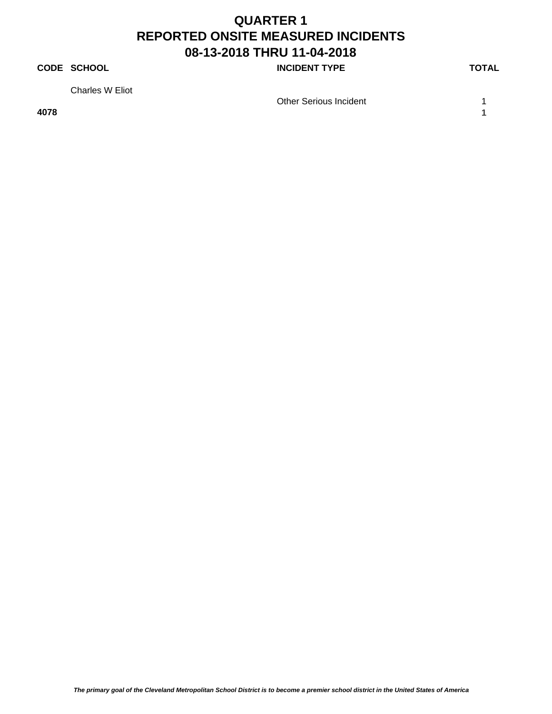### **CODE SCHOOL CODE SCHOOL**

Charles W Eliot

**4078 1**

Other Serious Incident 1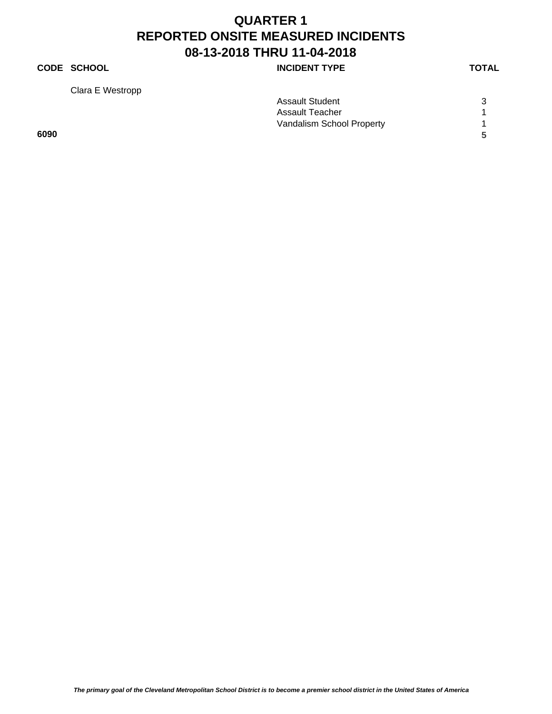### **CODE SCHOOL CODE SCHOOL**

Clara E Westropp

| Assault Student           | 3 |
|---------------------------|---|
| Assault Teacher           |   |
| Vandalism School Property |   |
|                           | 5 |
|                           |   |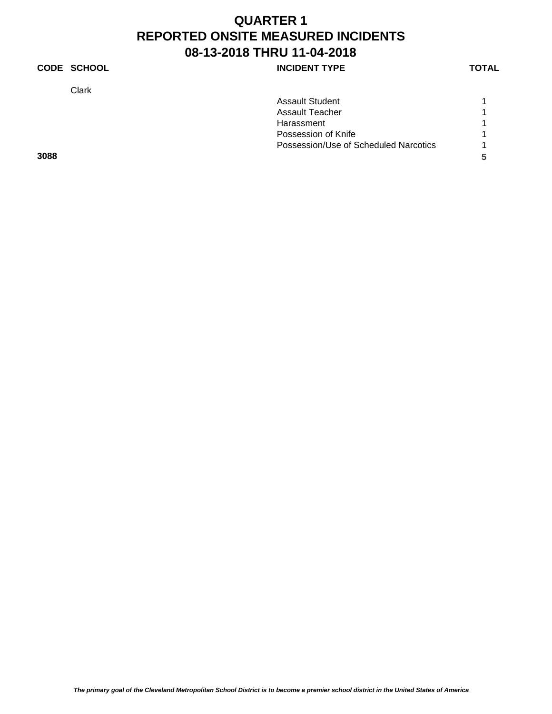### **CODE SCHOOL CODE SCHOOL**

Clark

| Clark |                                       |   |
|-------|---------------------------------------|---|
|       | <b>Assault Student</b>                |   |
|       | Assault Teacher                       |   |
|       | Harassment                            |   |
|       | Possession of Knife                   |   |
|       | Possession/Use of Scheduled Narcotics |   |
| 3088  |                                       | 5 |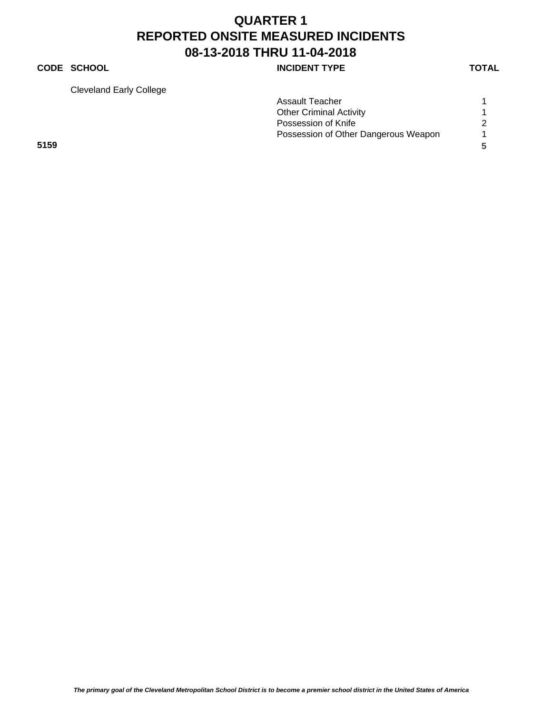### **CODE SCHOOL CODE SCHOOL**

Cleveland Early College

| Clevelation Early College |                                      |   |
|---------------------------|--------------------------------------|---|
|                           | <b>Assault Teacher</b>               |   |
|                           | <b>Other Criminal Activity</b>       |   |
|                           | Possession of Knife                  |   |
|                           | Possession of Other Dangerous Weapon |   |
| 5159                      |                                      | 5 |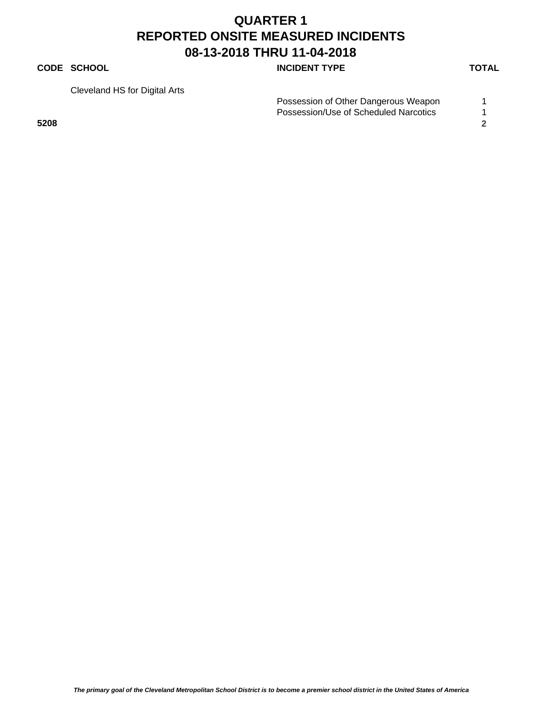#### **CODE SCHOOL CODE SCHOOL**

Cleveland HS for Digital Arts

|      | Possession of Other Dangerous Weapon  |  |
|------|---------------------------------------|--|
|      | Possession/Use of Scheduled Narcotics |  |
| 5208 |                                       |  |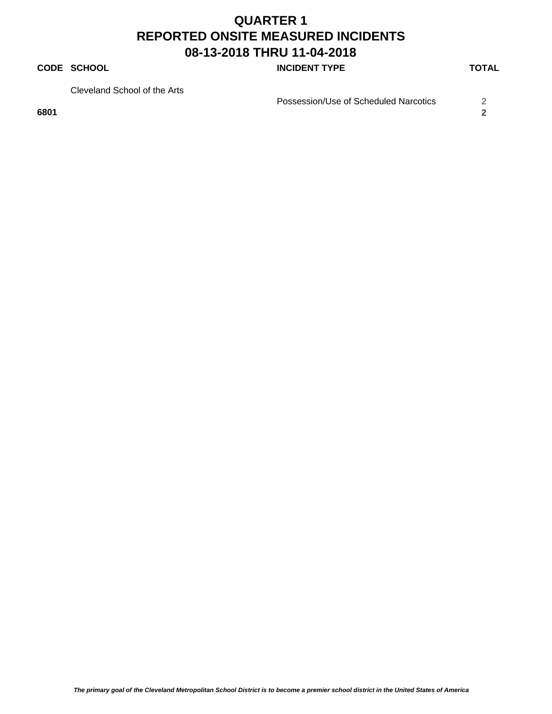#### **CODE SCHOOL CODE SCHOOL**

Cleveland School of the Arts

**6801 2**

Possession/Use of Scheduled Narcotics 2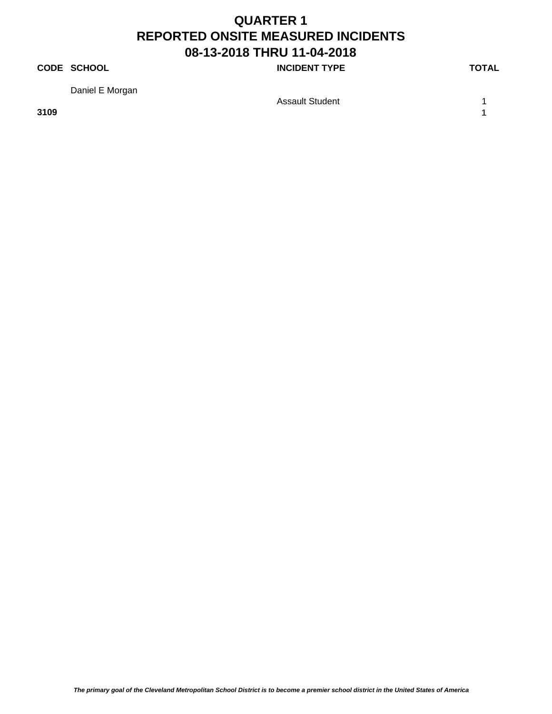### **CODE SCHOOL CODE SCHOOL**

Daniel E Morgan

**3109 1**

Assault Student 1 1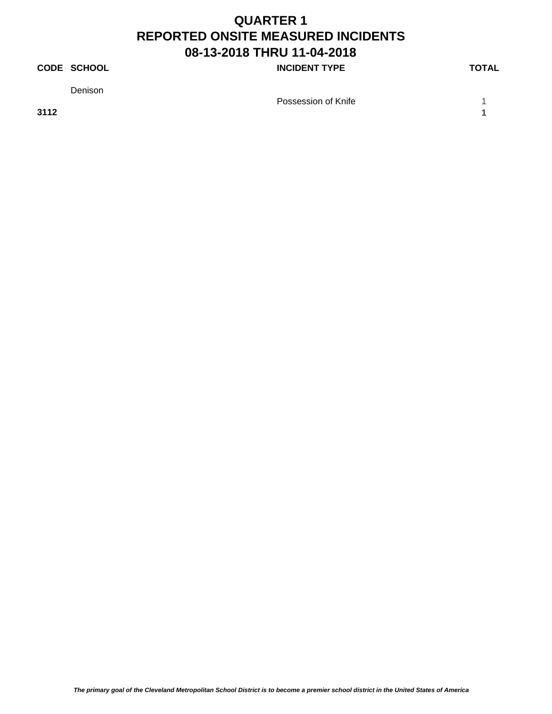### **CODE SCHOOL CODE SCHOOL**

Denison

**3112 1**

Possession of Knife 1 and 1 and 1 and 1 and 1 and 1 and 1 and 1 and 1 and 1 and 1 and 1 and 1 and 1 and 1 and 1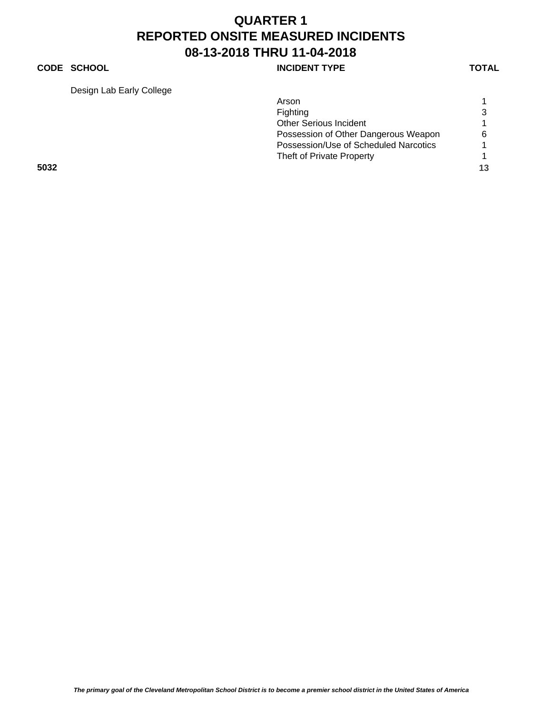### **CODE SCHOOL CODE SCHOOL**

Design Lab Early College

| Design Lab Early College |                                       |    |
|--------------------------|---------------------------------------|----|
|                          | Arson                                 |    |
|                          | Fighting                              | 3  |
|                          | <b>Other Serious Incident</b>         |    |
|                          | Possession of Other Dangerous Weapon  | 6  |
|                          | Possession/Use of Scheduled Narcotics |    |
|                          | Theft of Private Property             |    |
| 5032                     |                                       | 13 |
|                          |                                       |    |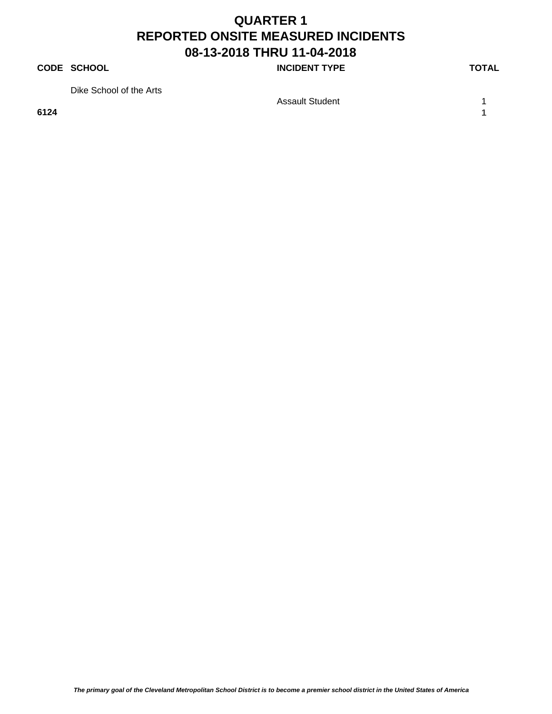#### **CODE SCHOOL CODE SCHOOL**

Dike School of the Arts

**6124 1**

Assault Student 1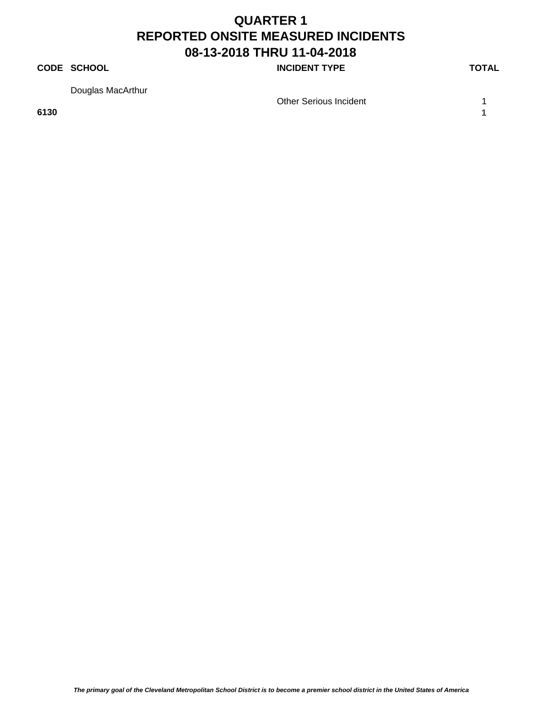#### **CODE SCHOOL CODE SCHOOL**

Douglas MacArthur

**6130 1**

Other Serious Incident 1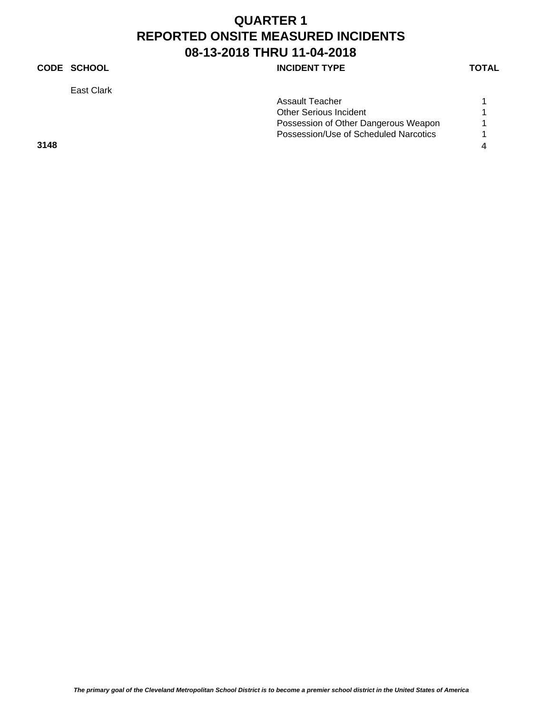### **CODE SCHOOL CODE SCHOOL**

East Clark

| Assault Teacher                       | 1 |
|---------------------------------------|---|
| Other Serious Incident                | 1 |
| Possession of Other Dangerous Weapon  | 1 |
| Possession/Use of Scheduled Narcotics | 1 |

**3148 4**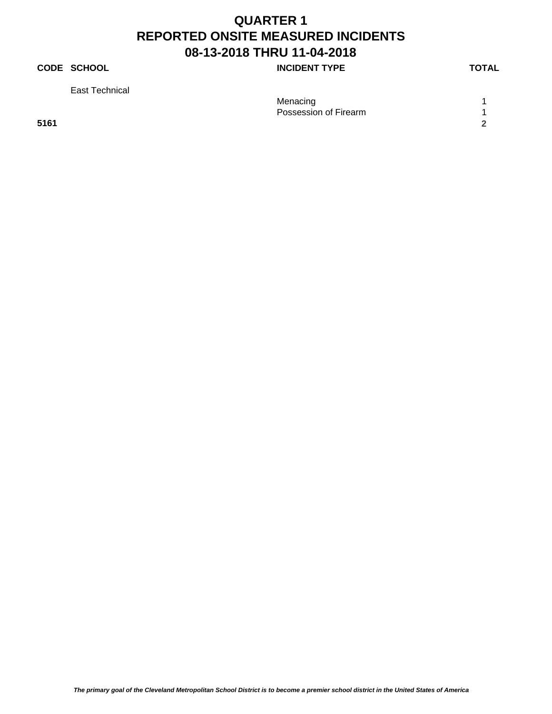### **CODE SCHOOL CODE SCHOOL**

East Technical

| -------------- |                       |  |
|----------------|-----------------------|--|
|                | Menacing              |  |
|                | Possession of Firearm |  |
| 5161           |                       |  |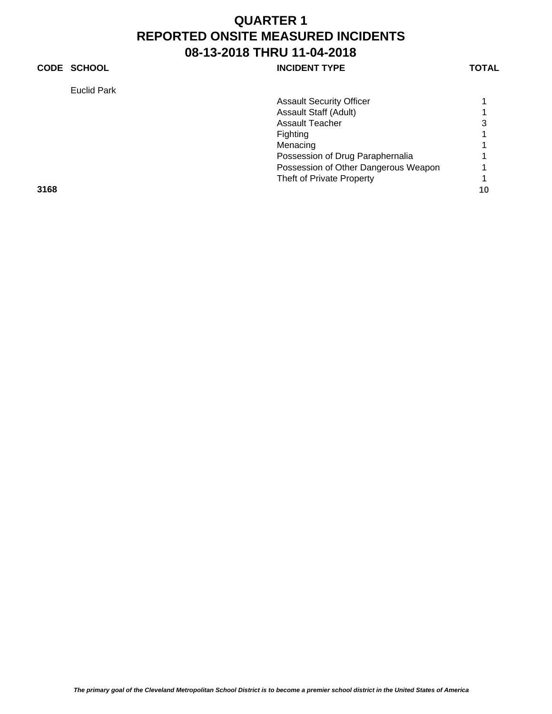### **CODE SCHOOL CODE SCHOOL**

Euclid Park

| Euclid Park |                                      |    |
|-------------|--------------------------------------|----|
|             | <b>Assault Security Officer</b>      |    |
|             | Assault Staff (Adult)                |    |
|             | <b>Assault Teacher</b>               | 3  |
|             | Fighting                             |    |
|             | Menacing                             |    |
|             | Possession of Drug Paraphernalia     |    |
|             | Possession of Other Dangerous Weapon |    |
|             | Theft of Private Property            |    |
| 3168        |                                      | 10 |
|             |                                      |    |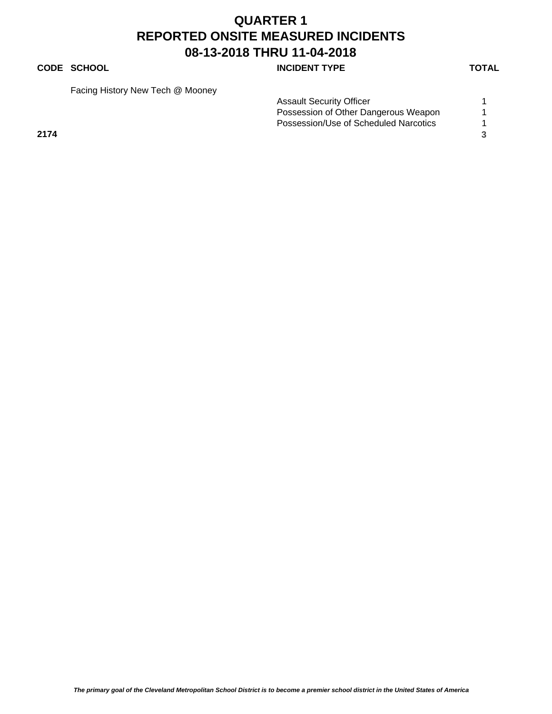#### **CODE SCHOOL CODE SCHOOL**

Facing History New Tech @ Mooney

|      | <b>Assault Security Officer</b>       |  |
|------|---------------------------------------|--|
|      | Possession of Other Dangerous Weapon  |  |
|      | Possession/Use of Scheduled Narcotics |  |
| 2174 |                                       |  |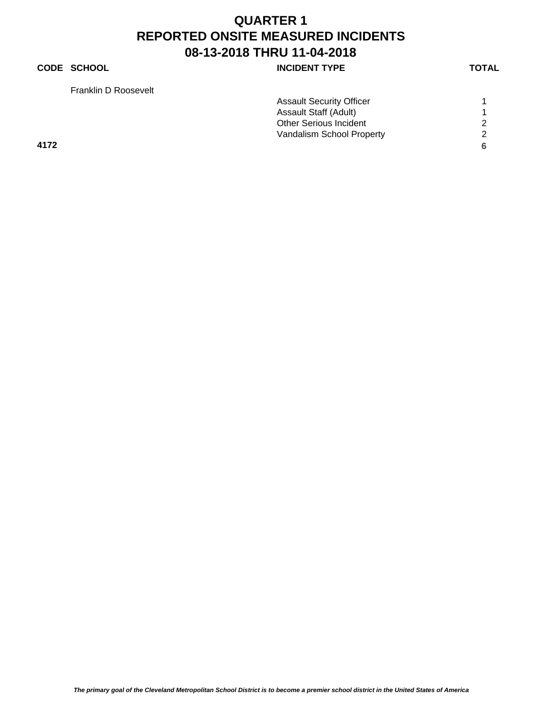### **CODE SCHOOL CODE SCHOOL**

Franklin D Roosevelt

| Franklin D Roosevelt |                                 |   |
|----------------------|---------------------------------|---|
|                      | <b>Assault Security Officer</b> |   |
|                      | <b>Assault Staff (Adult)</b>    |   |
|                      | <b>Other Serious Incident</b>   | റ |
|                      | Vandalism School Property       | ົ |
| 4172                 |                                 |   |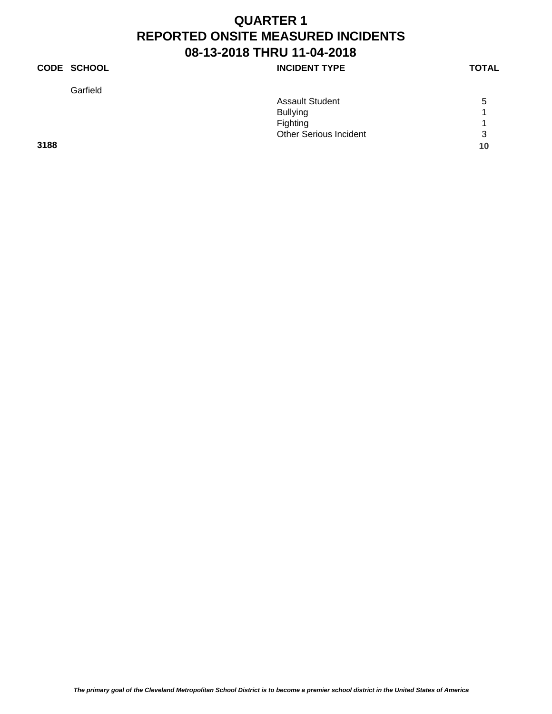### **CODE SCHOOL INCIDENT TYPE**

Garfield

| ۰. |
|----|
|----|

|      | <b>Assault Student</b>        | 5  |
|------|-------------------------------|----|
|      | <b>Bullying</b>               |    |
|      | Fighting                      |    |
|      | <b>Other Serious Incident</b> | 3  |
| 3188 |                               | 10 |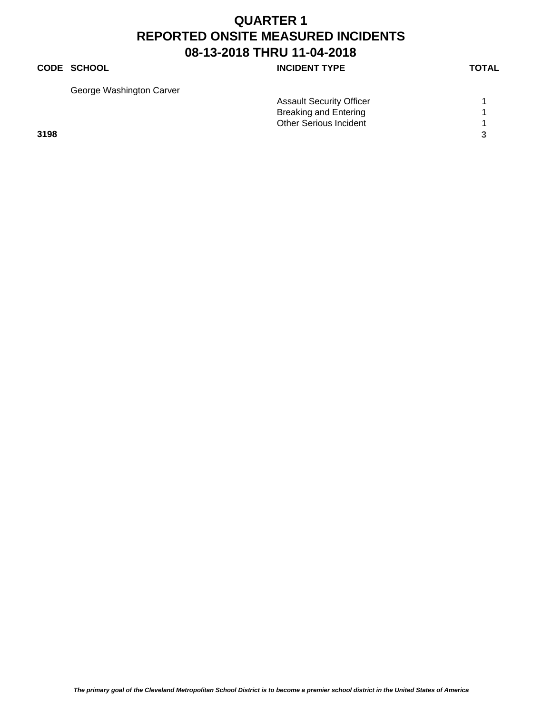#### **CODE SCHOOL CODE SCHOOL**

George Washington Carver

| George Washington Carver |                                 |  |
|--------------------------|---------------------------------|--|
|                          | <b>Assault Security Officer</b> |  |
|                          | <b>Breaking and Entering</b>    |  |
|                          | <b>Other Serious Incident</b>   |  |
| 3198                     |                                 |  |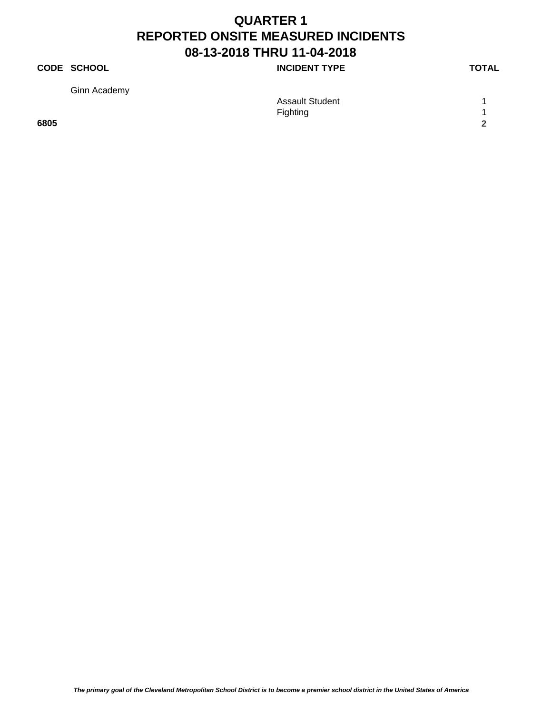### **CODE SCHOOL CODE SCHOOL**

Ginn Academy

| Ginn Academy |                        |        |
|--------------|------------------------|--------|
|              | <b>Assault Student</b> |        |
|              | Fighting               |        |
| 6805         |                        | $\sim$ |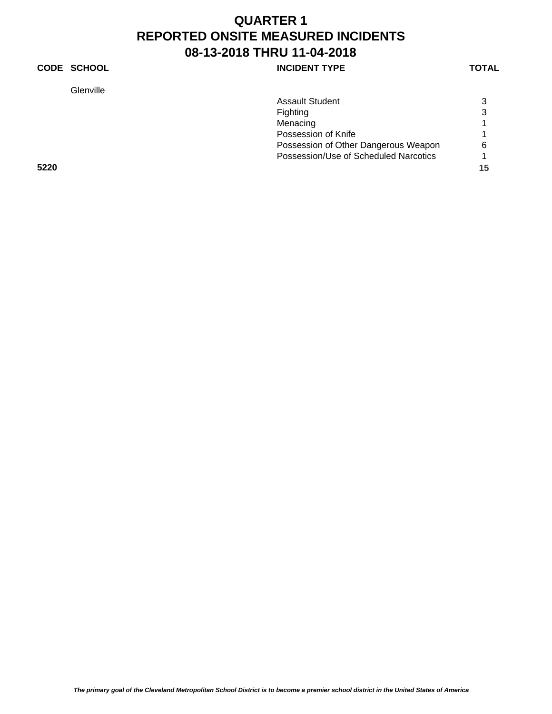### **CODE SCHOOL CODE SCHOOL**

Glenville

| <b>Assault Student</b>                | 3 |
|---------------------------------------|---|
| Fighting                              | 3 |
| Menacing                              |   |
| Possession of Knife                   |   |
| Possession of Other Dangerous Weapon  | ี |
| Possession/Use of Scheduled Narcotics |   |

**5220 15**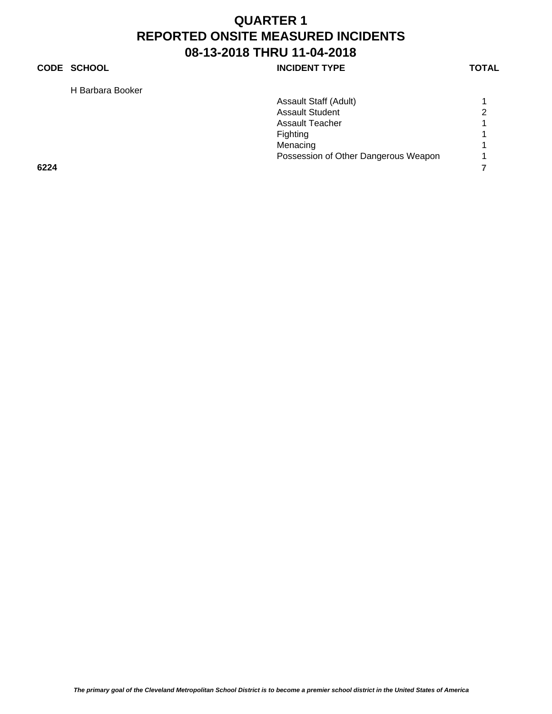### **CODE SCHOOL CODE SCHOOL**

H Barbara Booker

|      | H Barbara Booker |                                      |   |
|------|------------------|--------------------------------------|---|
|      |                  | Assault Staff (Adult)                |   |
|      |                  | <b>Assault Student</b>               | 2 |
|      |                  | <b>Assault Teacher</b>               |   |
|      |                  | Fighting                             |   |
|      |                  | Menacing                             |   |
|      |                  | Possession of Other Dangerous Weapon |   |
| 6224 |                  |                                      |   |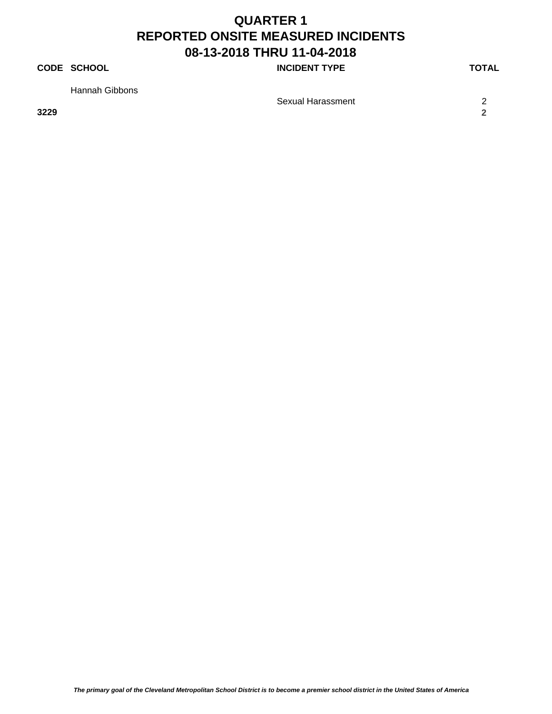### **CODE SCHOOL CODE SCHOOL**

Hannah Gibbons

**3229 2**

Sexual Harassment 2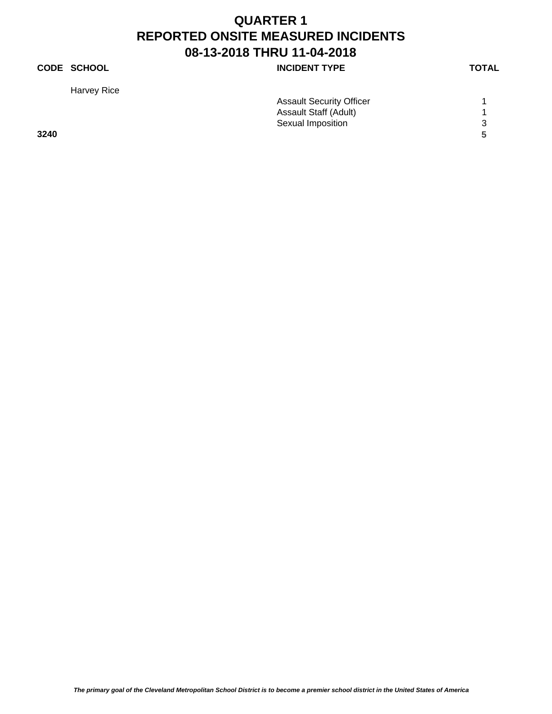### **CODE SCHOOL CODE SCHOOL**

Harvey Rice

| <b>Assault Security Officer</b> |   |
|---------------------------------|---|
| <b>Assault Staff (Adult)</b>    |   |
| Sexual Imposition               | 3 |
|                                 |   |
|                                 |   |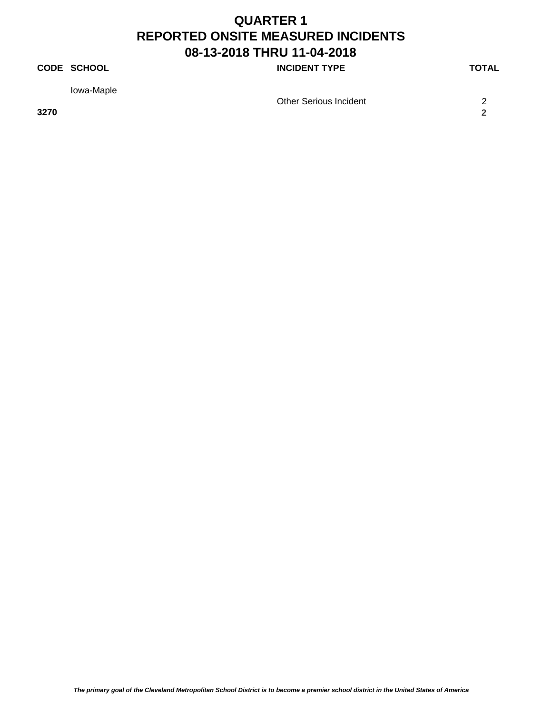### **CODE SCHOOL CODE SCHOOL**

Iowa-Maple

**3270 2**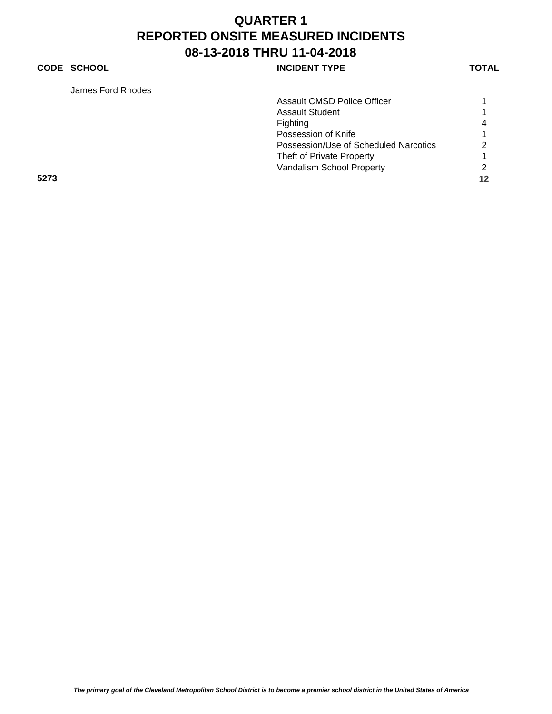## **CODE SCHOOL CODE SCHOOL**

James Ford Rhodes

| James Ford Rhodes |                                       |    |
|-------------------|---------------------------------------|----|
|                   | <b>Assault CMSD Police Officer</b>    |    |
|                   | <b>Assault Student</b>                |    |
|                   | Fighting                              | 4  |
|                   | Possession of Knife                   |    |
|                   | Possession/Use of Scheduled Narcotics | 2  |
|                   | Theft of Private Property             |    |
|                   | Vandalism School Property             |    |
| 5273              |                                       | 12 |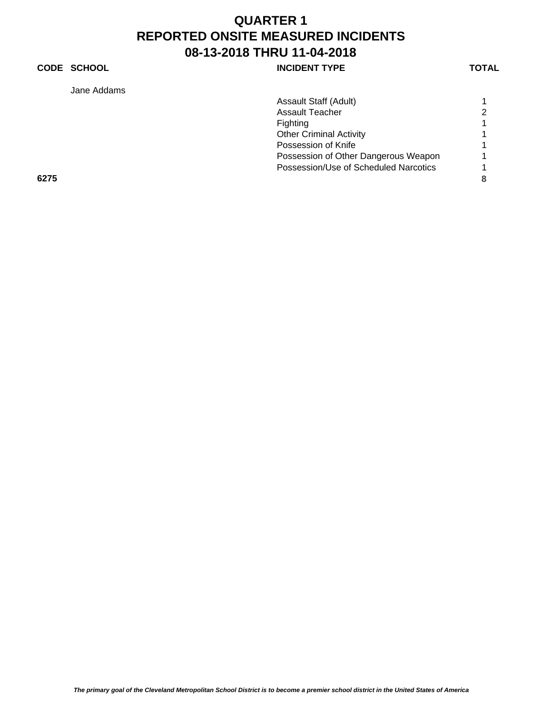## **CODE SCHOOL CODE SCHOOL**

Jane Addams

| Jane Addams |                                       |   |
|-------------|---------------------------------------|---|
|             | Assault Staff (Adult)                 |   |
|             | <b>Assault Teacher</b>                | 2 |
|             | Fighting                              |   |
|             | <b>Other Criminal Activity</b>        |   |
|             | Possession of Knife                   |   |
|             | Possession of Other Dangerous Weapon  |   |
|             | Possession/Use of Scheduled Narcotics |   |
| 6275        |                                       | 8 |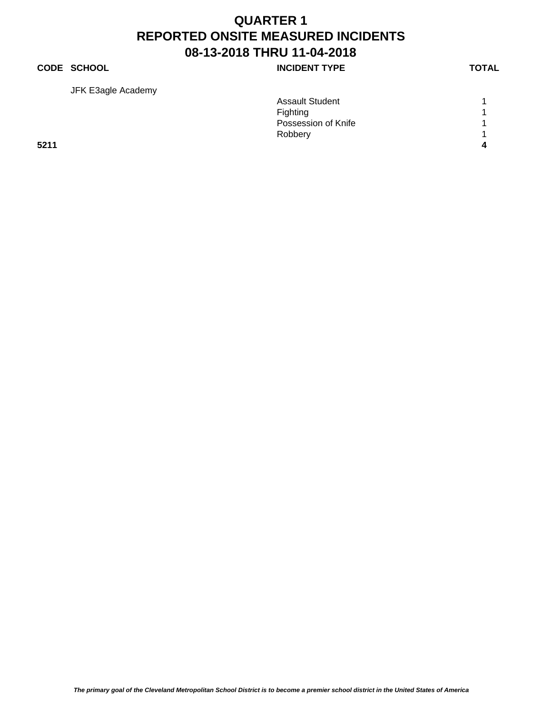## **CODE SCHOOL INCIDENT TYPE**

JFK E3agle Academy

| <u>.</u> | <b>Assault Student</b> |   |
|----------|------------------------|---|
|          | Fighting               |   |
|          | Possession of Knife    |   |
|          | Robbery                |   |
| 5211     |                        | Λ |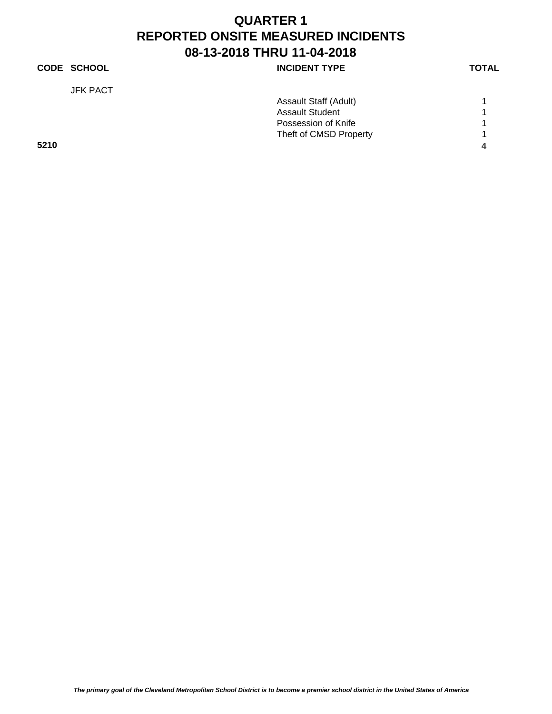## **CODE SCHOOL CODE SCHOOL** JFK PACT Assault Staff (Adult) 1 Assault Student 1 Possession of Knife 1 1 Theft of CMSD Property 1 **5210 4**

*The primary goal of the Cleveland Metropolitan School District is to become a premier school district in the United States of America*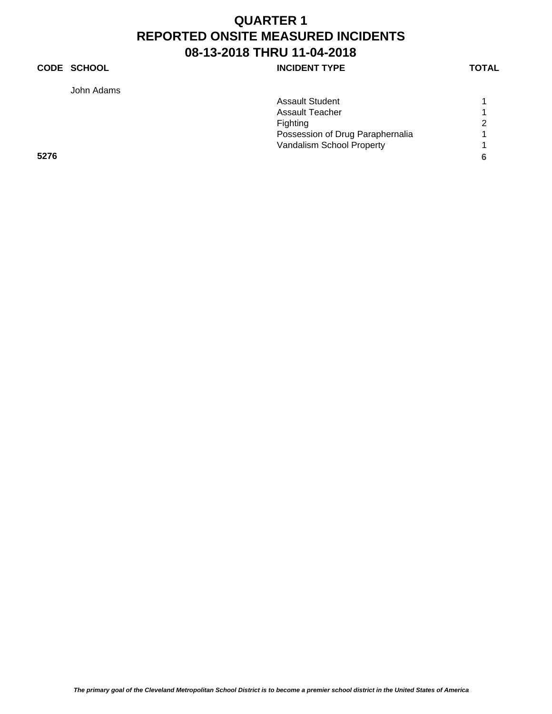## **CODE SCHOOL CODE SCHOOL**

John Adams

| Assault Student                  |   |
|----------------------------------|---|
| Assault Teacher                  |   |
| Fighting                         | 2 |
| Possession of Drug Paraphernalia |   |
| Vandalism School Property        |   |

**5276 6**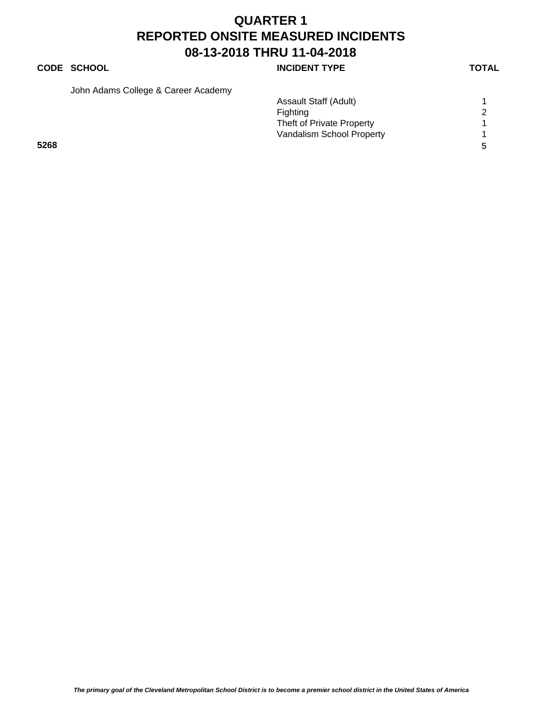## **CODE SCHOOL CODE SCHOOL**

John Adams College & Career Academy

|      | Assault Staff (Adult)     |   |
|------|---------------------------|---|
|      | Fighting                  |   |
|      | Theft of Private Property |   |
|      | Vandalism School Property |   |
| 5268 |                           | 5 |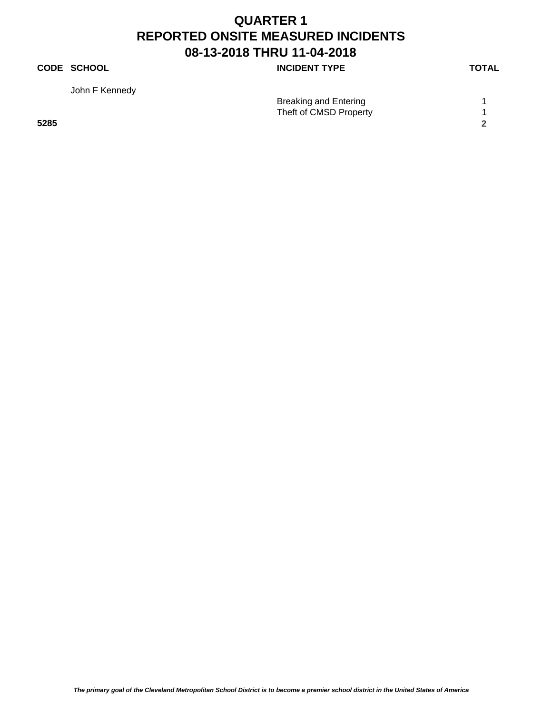## **CODE SCHOOL CODE SCHOOL**

John F Kennedy

Breaking and Entering 1 Theft of CMSD Property 1 **5285 2**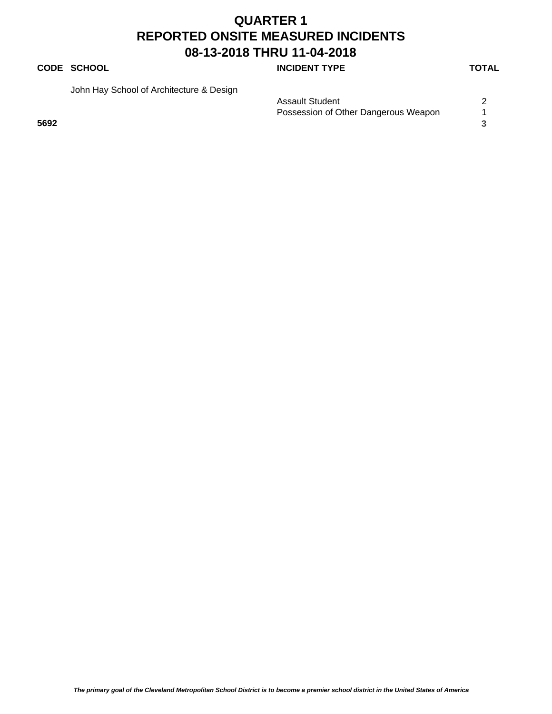## **CODE SCHOOL CODE SCHOOL**

John Hay School of Architecture & Design

| <b>Assault Student</b>               |  |
|--------------------------------------|--|
| Possession of Other Dangerous Weapon |  |
| 5692                                 |  |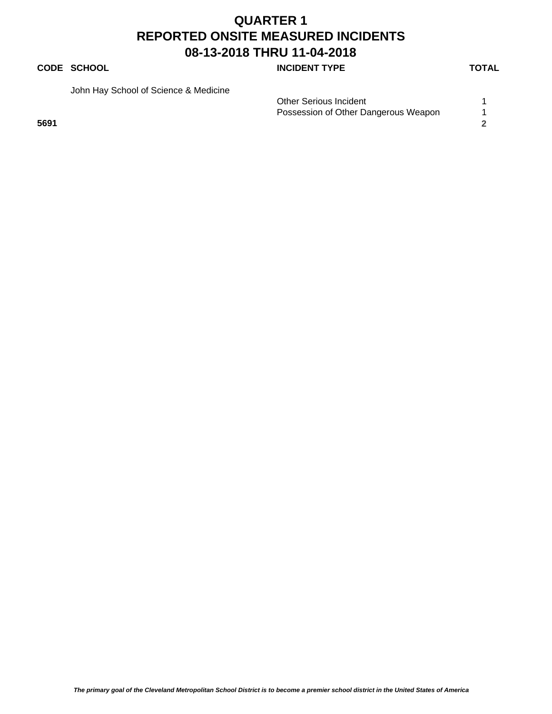## **CODE SCHOOL CODE SCHOOL**

John Hay School of Science & Medicine

|      | <b>Other Serious Incident</b>        |  |
|------|--------------------------------------|--|
|      | Possession of Other Dangerous Weapon |  |
| 5691 |                                      |  |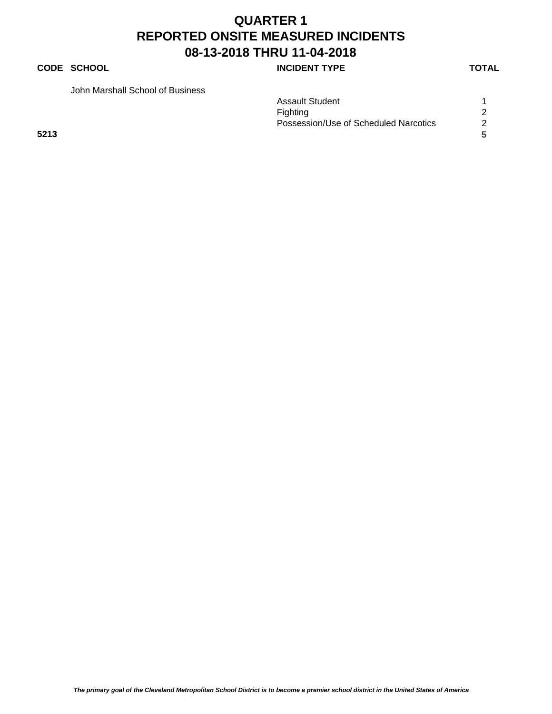## **CODE SCHOOL CODE SCHOOL**

John Marshall School of Business

| Assault Student                       |   |
|---------------------------------------|---|
| Fighting                              |   |
| Possession/Use of Scheduled Narcotics | 2 |

**5213 5**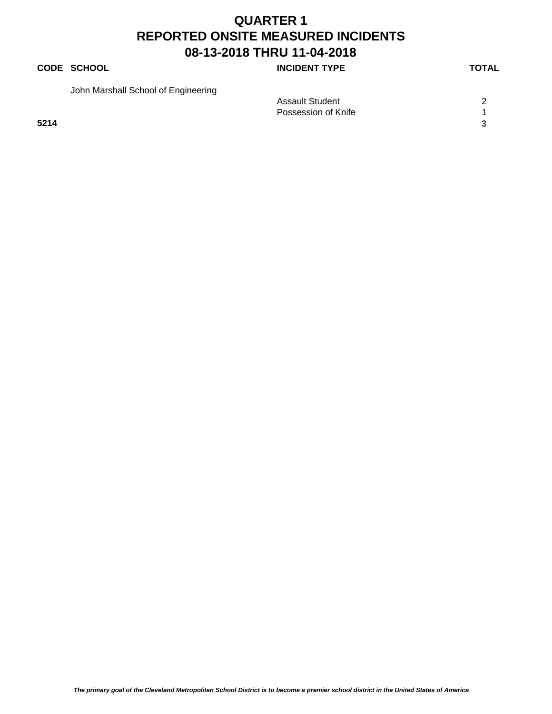## **CODE SCHOOL CODE SCHOOL**

John Marshall School of Engineering

|      | <b>Assault Student</b> | ⌒ |
|------|------------------------|---|
|      | Possession of Knife    |   |
| 5214 |                        |   |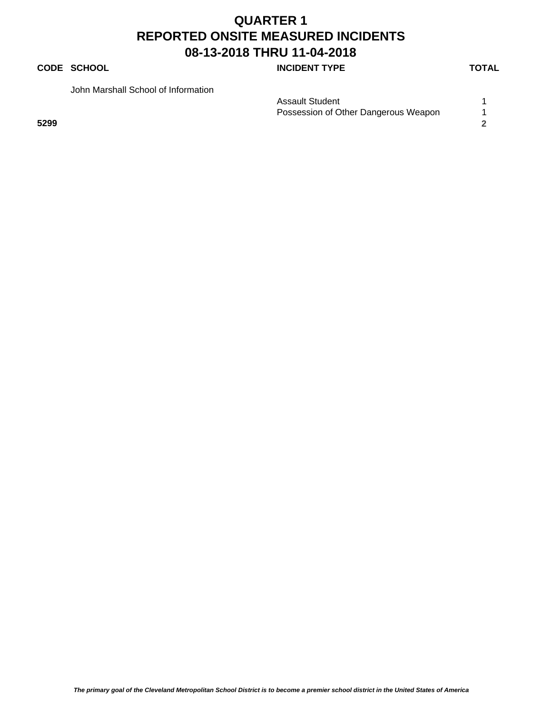## **CODE SCHOOL CODE SCHOOL**

John Marshall School of Information

| <b>Assault Student</b>               |  |
|--------------------------------------|--|
| Possession of Other Dangerous Weapon |  |
| 5299                                 |  |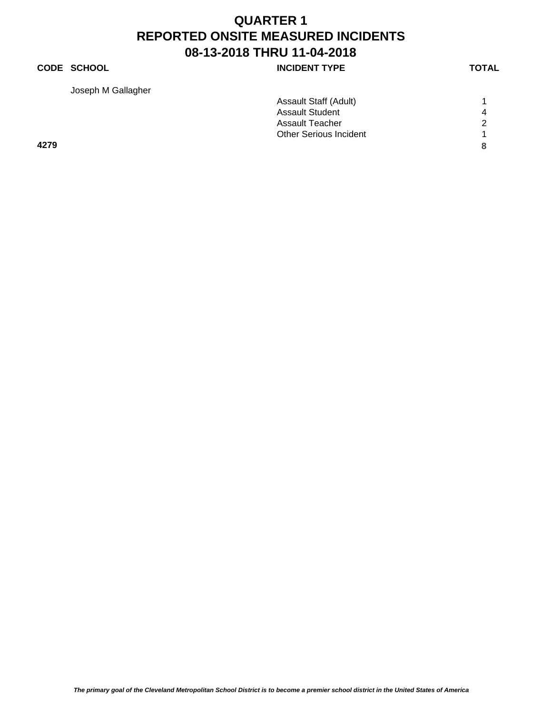## **CODE SCHOOL CODE SCHOOL**

Joseph M Gallagher

| YPE |  |  |  |
|-----|--|--|--|
|     |  |  |  |

|      | Assault Staff (Adult)         |   |
|------|-------------------------------|---|
|      | <b>Assault Student</b>        | 4 |
|      | Assault Teacher               | ົ |
|      | <b>Other Serious Incident</b> |   |
| 4279 |                               |   |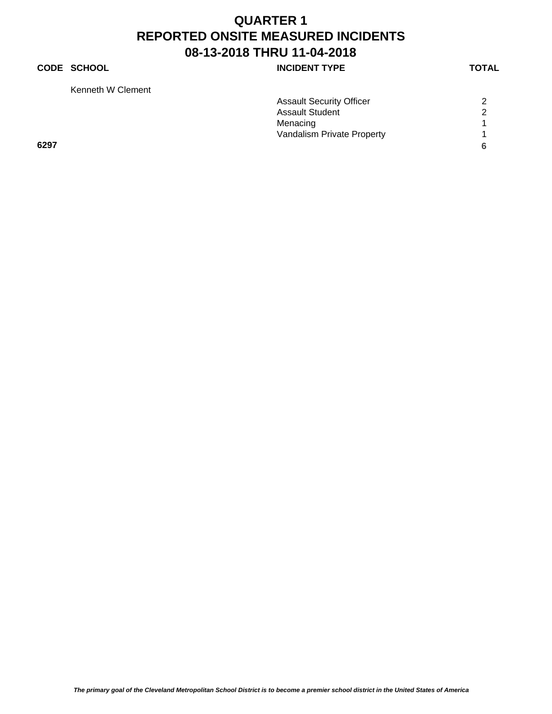## **CODE SCHOOL CODE SCHOOL**

Kenneth W Clement

| Kenneth W Clement |                                 |   |
|-------------------|---------------------------------|---|
|                   | <b>Assault Security Officer</b> | 2 |
|                   | <b>Assault Student</b>          | ົ |
|                   | Menacing                        |   |
|                   | Vandalism Private Property      |   |
| 6297              |                                 |   |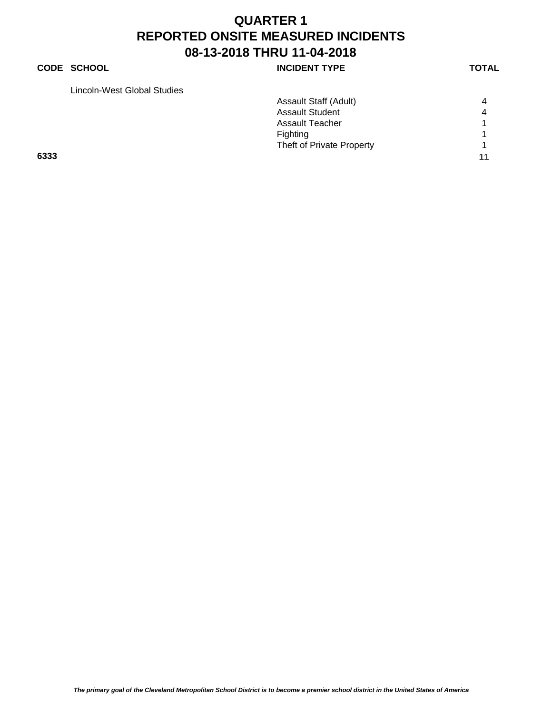## **CODE SCHOOL CODE SCHOOL**

Lincoln-West Global Studies

|      | Lincoin-west Giobal Studies |                           |    |
|------|-----------------------------|---------------------------|----|
|      |                             | Assault Staff (Adult)     | 4  |
|      |                             | <b>Assault Student</b>    | 4  |
|      |                             | <b>Assault Teacher</b>    |    |
|      |                             | Fighting                  |    |
|      |                             | Theft of Private Property |    |
| 6333 |                             |                           | 11 |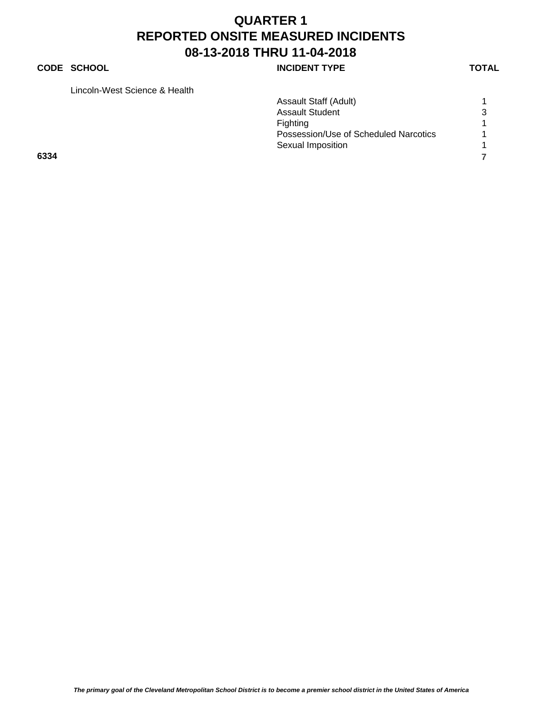## **CODE SCHOOL CODE SCHOOL**

Lincoln-West Science & Health

|      | Lincoln-West Science & Health |                                       |   |
|------|-------------------------------|---------------------------------------|---|
|      |                               | Assault Staff (Adult)                 |   |
|      |                               | <b>Assault Student</b>                | 3 |
|      |                               | Fighting                              |   |
|      |                               | Possession/Use of Scheduled Narcotics |   |
|      |                               | Sexual Imposition                     |   |
| 6334 |                               |                                       |   |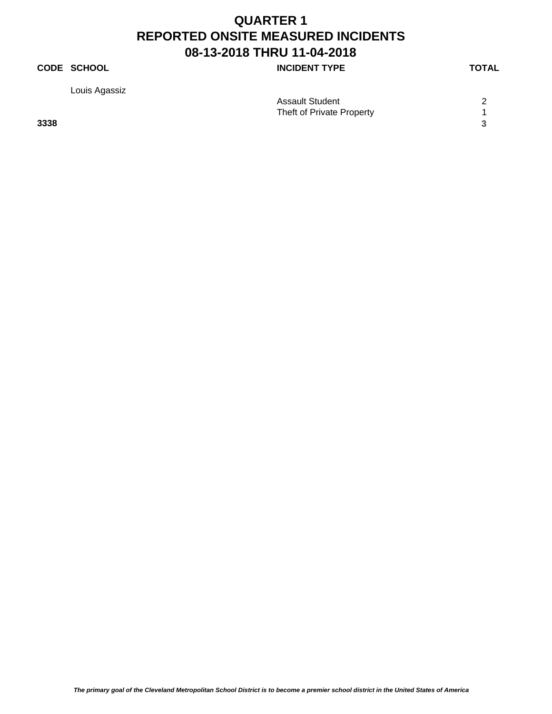## **CODE SCHOOL CODE SCHOOL**

Louis Agassiz

| .    | Assault Student           | $\sqrt{2}$ |
|------|---------------------------|------------|
|      | Theft of Private Property |            |
| 3338 |                           |            |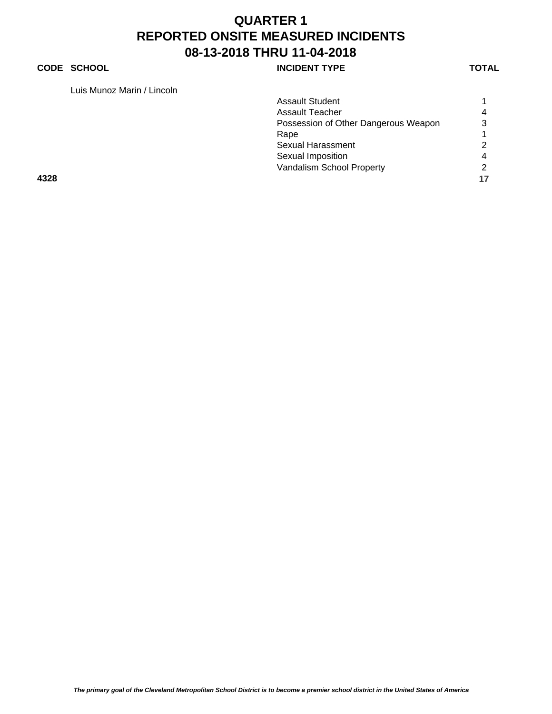## **CODE SCHOOL CODE SCHOOL**

Luis Munoz Marin / Lincoln

| LUIS IVIUITUZ IVIAHITT LIITUUTTI |                                      |                |
|----------------------------------|--------------------------------------|----------------|
|                                  | <b>Assault Student</b>               |                |
|                                  | Assault Teacher                      | $\overline{4}$ |
|                                  | Possession of Other Dangerous Weapon | 3              |
|                                  | Rape                                 |                |
|                                  | Sexual Harassment                    | 2              |
|                                  | Sexual Imposition                    | $\overline{4}$ |
|                                  | Vandalism School Property            | 2              |
| 4328                             |                                      | 17             |
|                                  |                                      |                |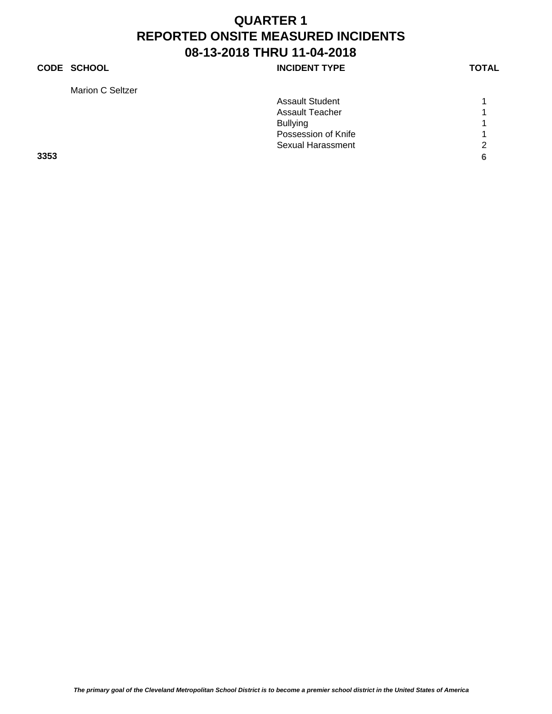## **CODE SCHOOL CODE SCHOOL**

Marion C Seltzer

|  | ITPE |  |  |  |  |  |
|--|------|--|--|--|--|--|
|  |      |  |  |  |  |  |
|  |      |  |  |  |  |  |
|  |      |  |  |  |  |  |

|      | <b>Assault Student</b>   |               |
|------|--------------------------|---------------|
|      | <b>Assault Teacher</b>   |               |
|      | <b>Bullying</b>          | 4             |
|      | Possession of Knife      |               |
|      | <b>Sexual Harassment</b> | $\mathcal{P}$ |
| 3353 |                          | 6             |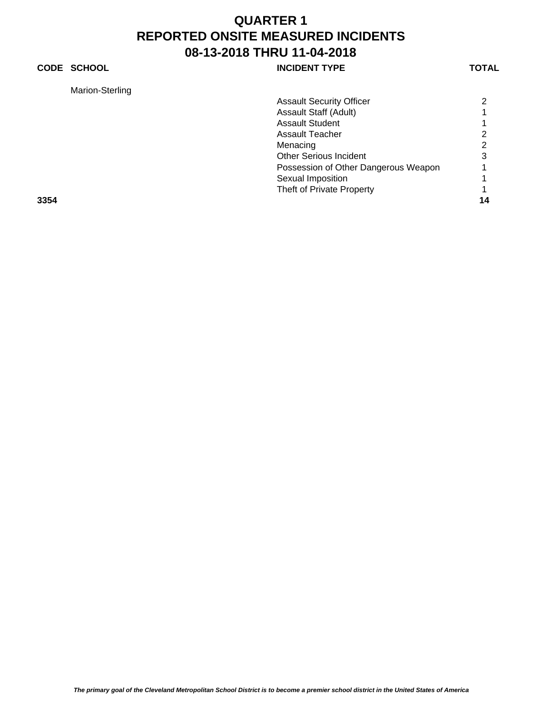## **CODE SCHOOL CODE SCHOOL**

| Marion-Sterling |
|-----------------|
|-----------------|

| Marion-Sterling |                                      |                |
|-----------------|--------------------------------------|----------------|
|                 | <b>Assault Security Officer</b>      | 2              |
|                 | Assault Staff (Adult)                |                |
|                 | <b>Assault Student</b>               |                |
|                 | Assault Teacher                      | 2              |
|                 | Menacing                             | $\overline{2}$ |
|                 | <b>Other Serious Incident</b>        | 3              |
|                 | Possession of Other Dangerous Weapon |                |
|                 | Sexual Imposition                    |                |
|                 | Theft of Private Property            |                |
| 3354            |                                      | 14             |
|                 |                                      |                |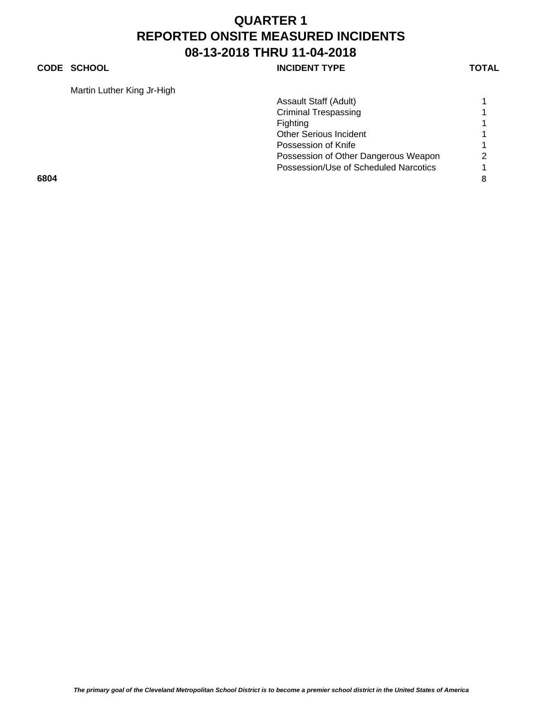## **CODE SCHOOL CODE SCHOOL**

Martin Luther King Jr-High

| Martin Luther King Jr-High |                                       |               |
|----------------------------|---------------------------------------|---------------|
|                            | Assault Staff (Adult)                 |               |
|                            | <b>Criminal Trespassing</b>           |               |
|                            | Fighting                              |               |
|                            | <b>Other Serious Incident</b>         |               |
|                            | Possession of Knife                   |               |
|                            | Possession of Other Dangerous Weapon  | $\mathcal{P}$ |
|                            | Possession/Use of Scheduled Narcotics |               |
| 6804                       |                                       | 8             |
|                            |                                       |               |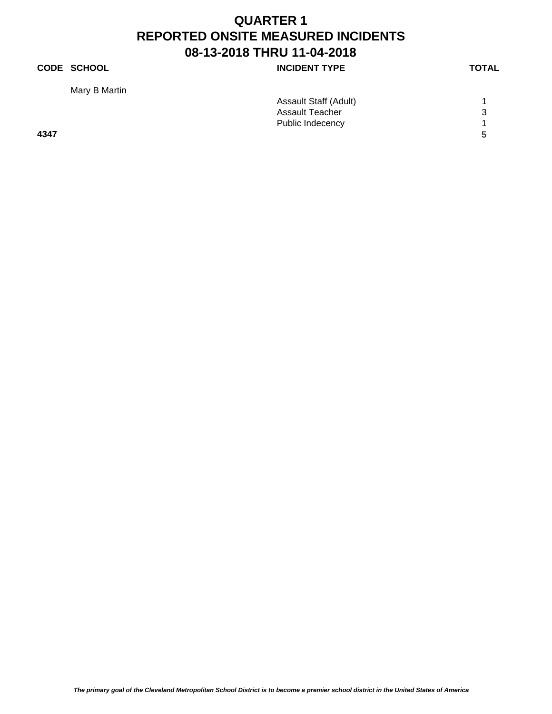## **CODE SCHOOL CODE SCHOOL**

Mary B Martin

| $\mathbf{r}$ |                        |   |
|--------------|------------------------|---|
|              | Assault Staff (Adult)  |   |
|              | <b>Assault Teacher</b> | 3 |
|              | Public Indecency       |   |
| 4347         |                        | 5 |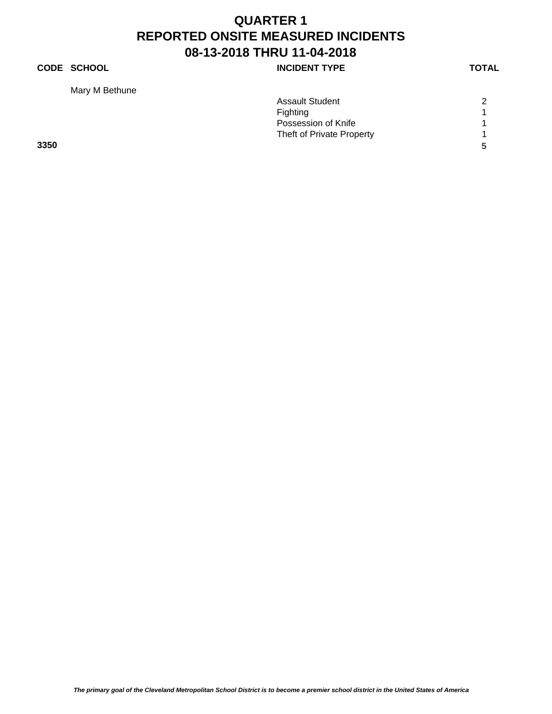## **CODE SCHOOL INCIDENT TYPE**

Mary M Bethune

|      | <b>Assault Student</b>    | 2 |
|------|---------------------------|---|
|      | <b>Fighting</b>           |   |
|      | Possession of Knife       |   |
|      | Theft of Private Property |   |
| 3350 |                           | 5 |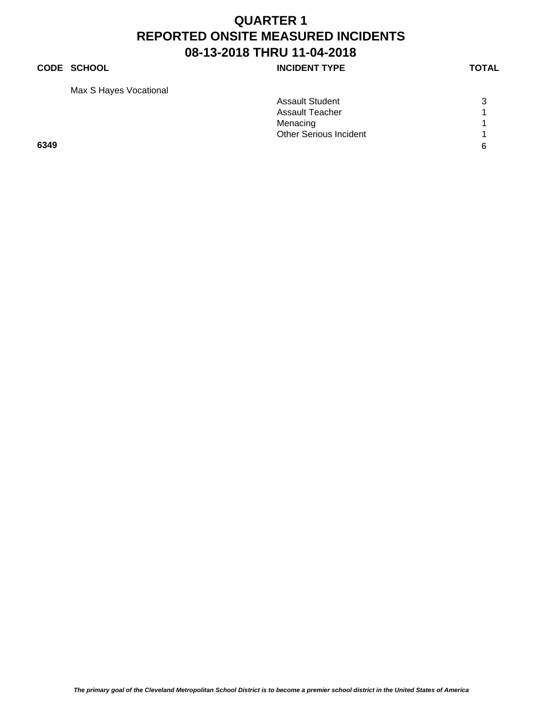## **CODE SCHOOL CODE SCHOOL**

Max S Hayes Vocational

| Max S Hayes Vocational |                               |   |
|------------------------|-------------------------------|---|
|                        | <b>Assault Student</b>        | 3 |
|                        | <b>Assault Teacher</b>        |   |
|                        | Menacing                      |   |
|                        | <b>Other Serious Incident</b> |   |
| 6349                   |                               |   |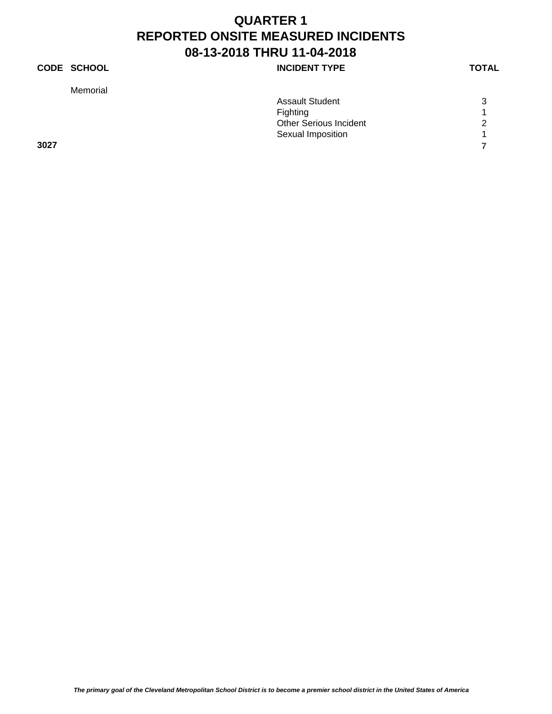## **CODE SCHOOL INCIDENT TYPE**

Memorial

|      | <b>Assault Student</b>        | 3 |
|------|-------------------------------|---|
|      | Fighting                      |   |
|      | <b>Other Serious Incident</b> | 2 |
|      | Sexual Imposition             |   |
| 3027 |                               |   |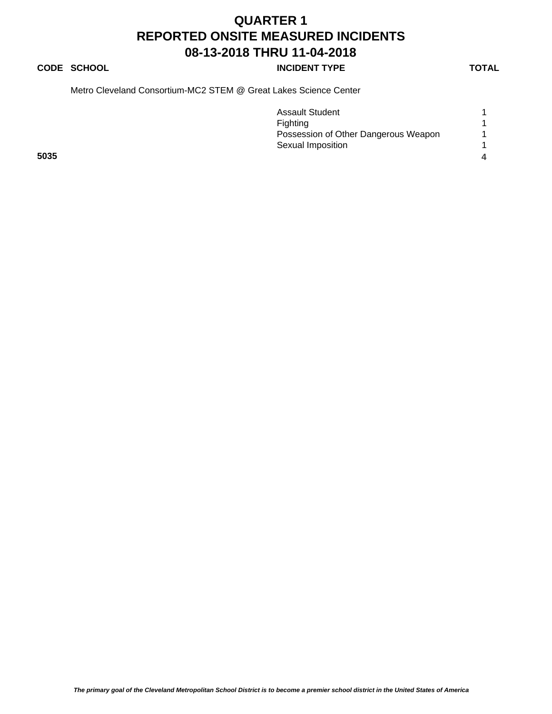## **CODE SCHOOL CODE SCHOOL**

Metro Cleveland Consortium-MC2 STEM @ Great Lakes Science Center

|      | <b>Assault Student</b>               |  |
|------|--------------------------------------|--|
|      | Fighting                             |  |
|      | Possession of Other Dangerous Weapon |  |
|      | Sexual Imposition                    |  |
| 5035 |                                      |  |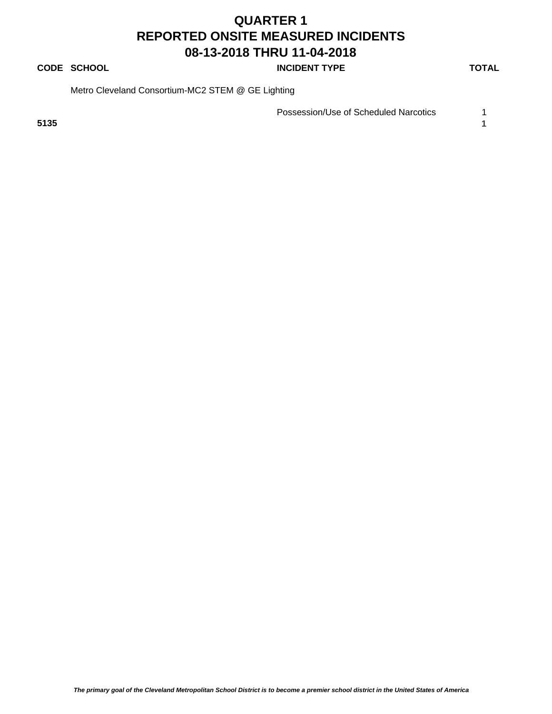## **CODE SCHOOL CODE SCHOOL**

Metro Cleveland Consortium-MC2 STEM @ GE Lighting

Possession/Use of Scheduled Narcotics 1

**5135 1**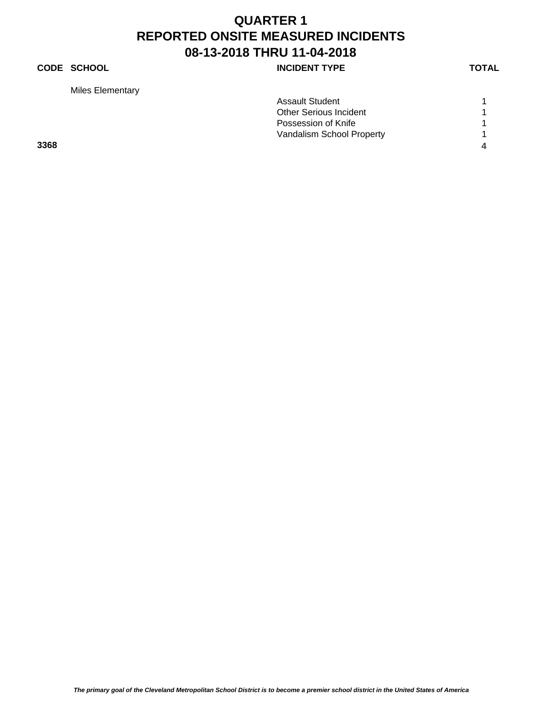## **CODE SCHOOL CODE SCHOOL**

Miles Elementary

|      | <b>Assault Student</b>        |                |
|------|-------------------------------|----------------|
|      | <b>Other Serious Incident</b> |                |
|      | Possession of Knife           |                |
|      | Vandalism School Property     |                |
| 3368 |                               | $\overline{a}$ |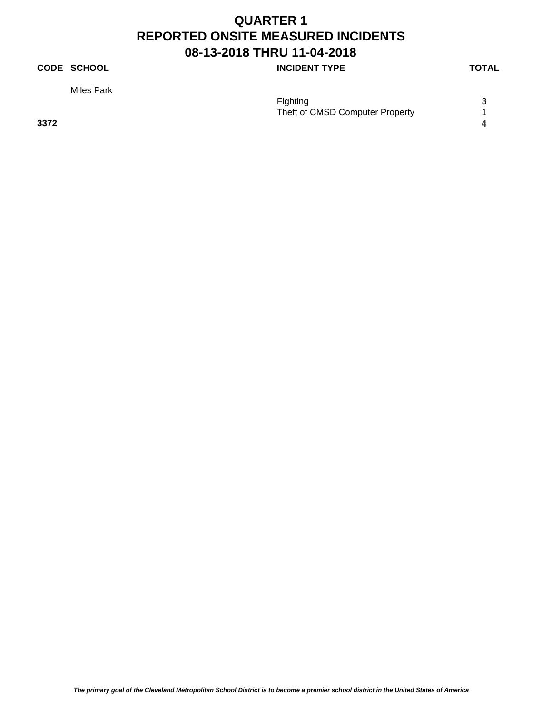## **CODE SCHOOL CODE SCHOOL**

Miles Park

|      | .                               |  |
|------|---------------------------------|--|
|      | <b>Fighting</b>                 |  |
|      | Theft of CMSD Computer Property |  |
| 3372 |                                 |  |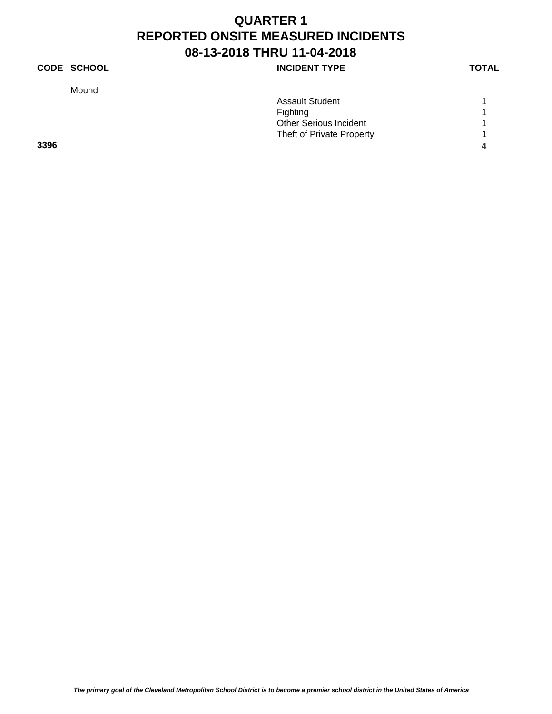## **CODE SCHOOL INCIDENT TYPE**

Mound

|      | <b>Assault Student</b>        |  |
|------|-------------------------------|--|
|      | Fighting                      |  |
|      | <b>Other Serious Incident</b> |  |
|      | Theft of Private Property     |  |
| 3396 |                               |  |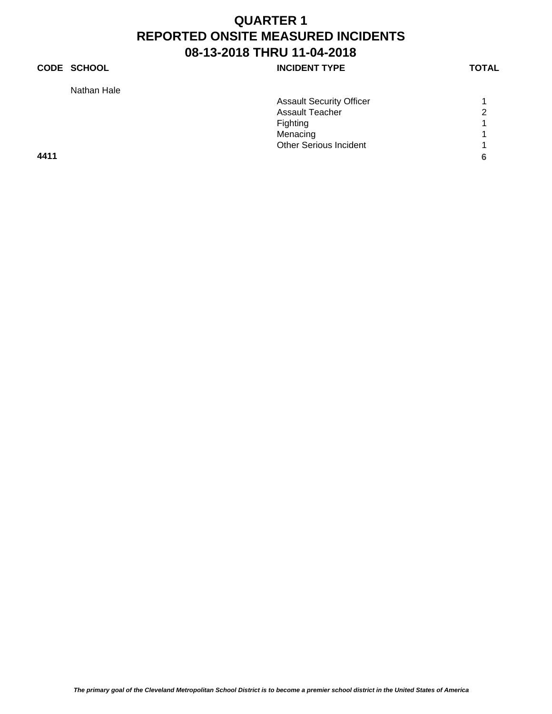## **CODE SCHOOL INCIDENT TYPE**

Nathan Hale

|      | <b>Assault Security Officer</b> |   |
|------|---------------------------------|---|
|      | <b>Assault Teacher</b>          | 2 |
|      | Fighting                        |   |
|      | Menacing                        |   |
|      | <b>Other Serious Incident</b>   |   |
| 4411 |                                 |   |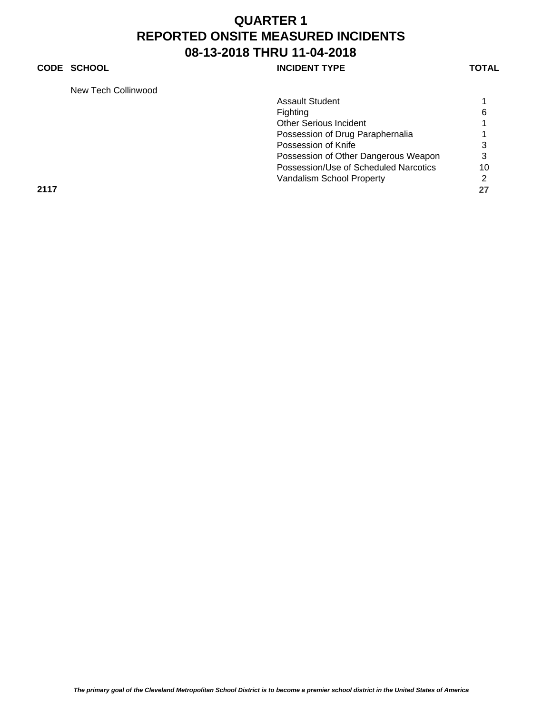## **CODE SCHOOL CODE SCHOOL**

New Tech Collinwood

| New Tech Collinwood |                                       |    |
|---------------------|---------------------------------------|----|
|                     | <b>Assault Student</b>                |    |
|                     | Fighting                              | 6  |
|                     | <b>Other Serious Incident</b>         |    |
|                     | Possession of Drug Paraphernalia      |    |
|                     | Possession of Knife                   | 3  |
|                     | Possession of Other Dangerous Weapon  | 3  |
|                     | Possession/Use of Scheduled Narcotics | 10 |
|                     | Vandalism School Property             | 2  |
| 2117                |                                       | 27 |
|                     |                                       |    |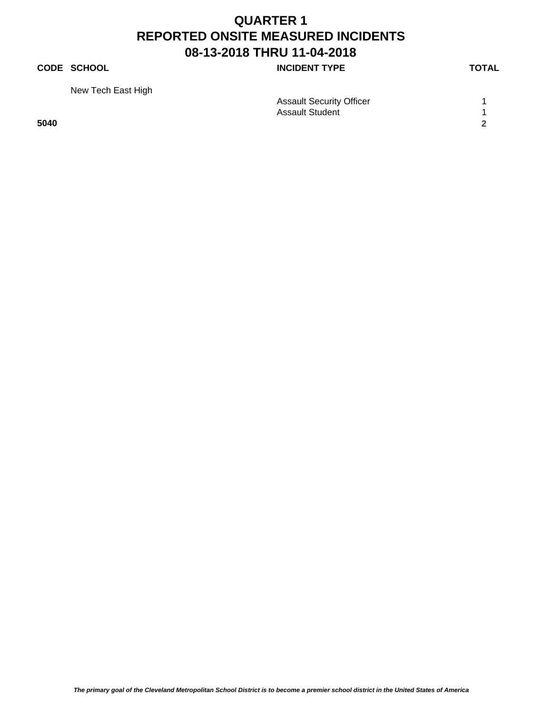## **CODE SCHOOL CODE SCHOOL**

| New Tech East High |                                 |  |
|--------------------|---------------------------------|--|
|                    | <b>Assault Security Officer</b> |  |
|                    | <b>Assault Student</b>          |  |
| 5040               |                                 |  |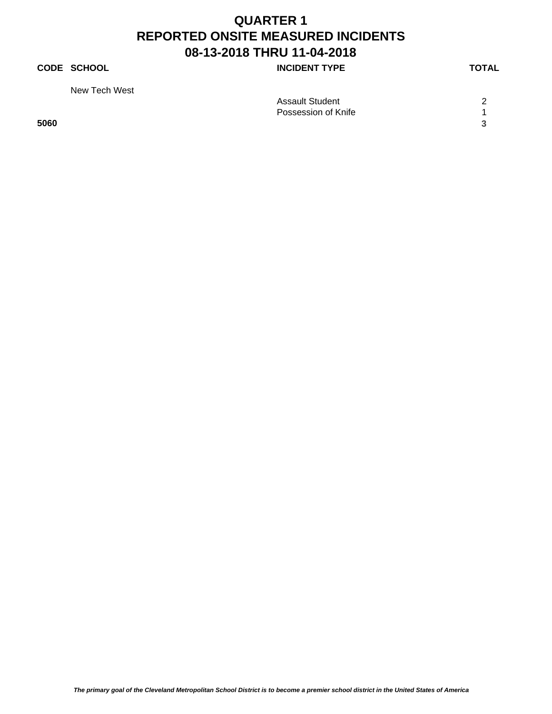## **CODE SCHOOL CODE SCHOOL**

New Tech West

| .    |                        |            |
|------|------------------------|------------|
|      | <b>Assault Student</b> | $\sqrt{2}$ |
|      | Possession of Knife    |            |
| 5060 |                        |            |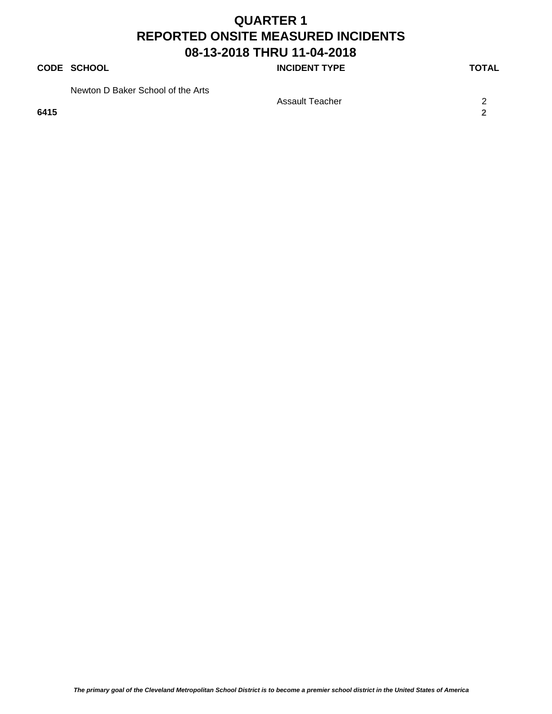### **CODE SCHOOL CODE SCHOOL**

Newton D Baker School of the Arts

**6415 2**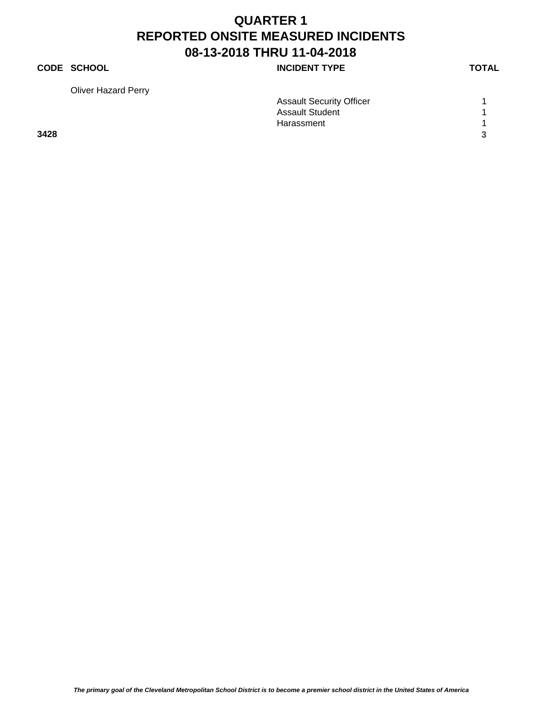## **CODE SCHOOL CODE SCHOOL**

Oliver Hazard Perry

| <b>Assault Security Officer</b> |  |
|---------------------------------|--|
| <b>Assault Student</b>          |  |

Harassment 1 and 1 and 1 and 1 and 1 and 1 and 1 and 1 and 1 and 1 and 1 and 1 and 1 and 1 and 1 and 1 and 1 and 1 and 1 and 1 and 1 and 1 and 1 and 1 and 1 and 1 and 1 and 1 and 1 and 1 and 1 and 1 and 1 and 1 and 1 and 1

**3428 3**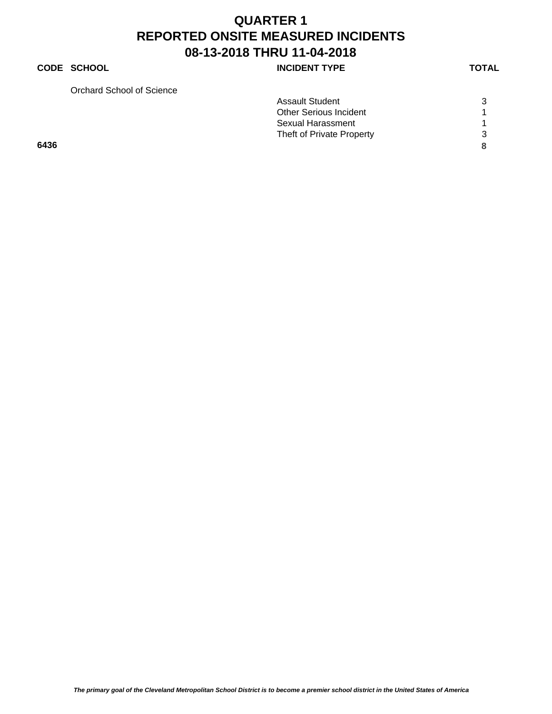### **CODE SCHOOL CODE SCHOOL**

Orchard School of Science

| Orchard School of Science |                               |  |
|---------------------------|-------------------------------|--|
|                           | <b>Assault Student</b>        |  |
|                           | <b>Other Serious Incident</b> |  |
|                           | Sexual Harassment             |  |
|                           | Theft of Private Property     |  |
| 6436                      |                               |  |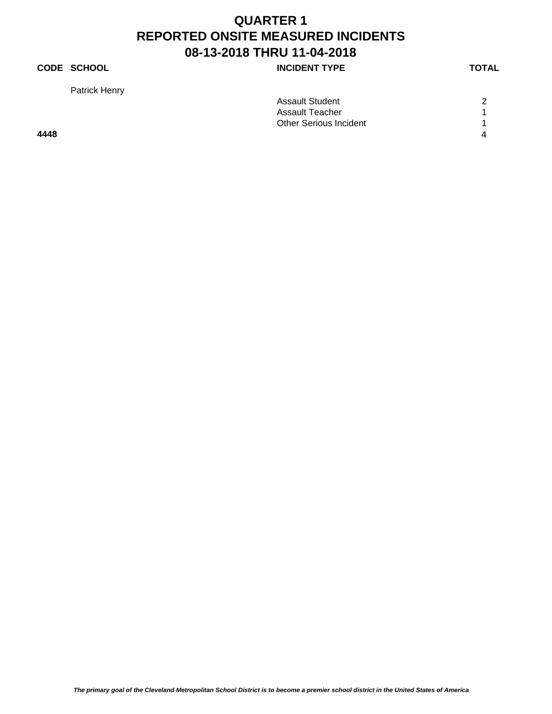## **CODE SCHOOL CODE SCHOOL**

Patrick Henry

|      | <b>Assault Student</b>        | 2 |
|------|-------------------------------|---|
|      | <b>Assault Teacher</b>        |   |
|      | <b>Other Serious Incident</b> |   |
| 4448 |                               | 4 |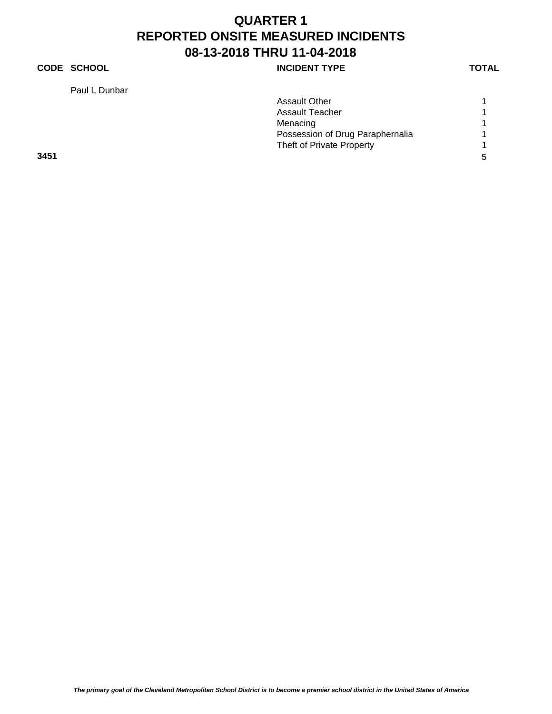## **CODE SCHOOL CODE SCHOOL**

Paul L Dunbar

|      | Paul L Dunbar |                                  |   |
|------|---------------|----------------------------------|---|
|      |               | <b>Assault Other</b>             |   |
|      |               | <b>Assault Teacher</b>           |   |
|      |               | Menacing                         |   |
|      |               | Possession of Drug Paraphernalia |   |
|      |               | Theft of Private Property        |   |
| 3451 |               |                                  | 5 |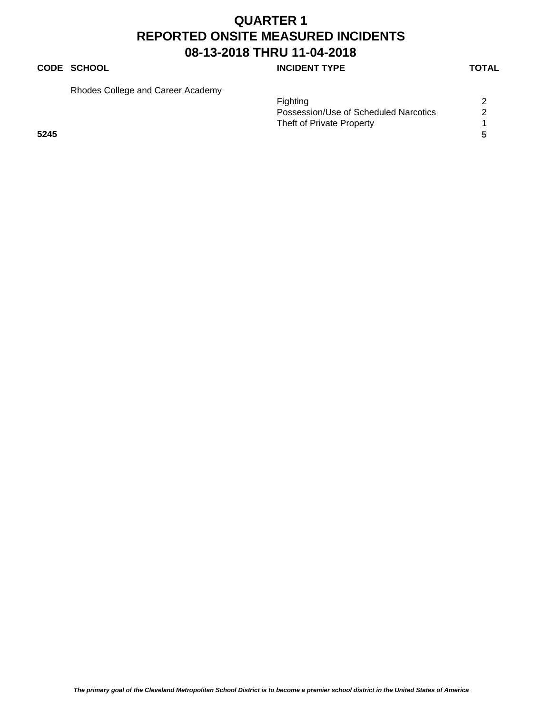## **CODE SCHOOL CODE SCHOOL**

Rhodes College and Career Academy

|      | Fighting                              |
|------|---------------------------------------|
|      | Possession/Use of Scheduled Narcotics |
|      | Theft of Private Property             |
| 5245 |                                       |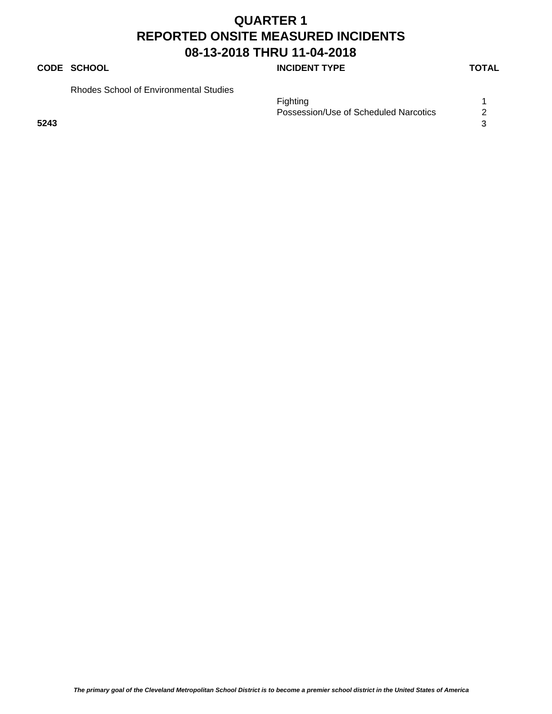## **CODE SCHOOL CODE SCHOOL**

Rhodes School of Environmental Studies

|      | Fighting                              |  |
|------|---------------------------------------|--|
|      | Possession/Use of Scheduled Narcotics |  |
| 5243 |                                       |  |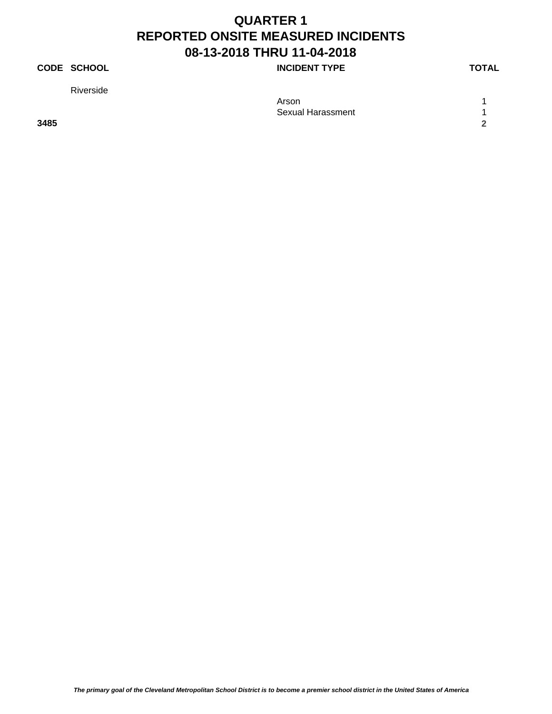## **CODE SCHOOL CODE SCHOOL**

Riverside

| .    | Arson                    |        |
|------|--------------------------|--------|
|      |                          |        |
|      | <b>Sexual Harassment</b> |        |
| 3485 |                          | $\sim$ |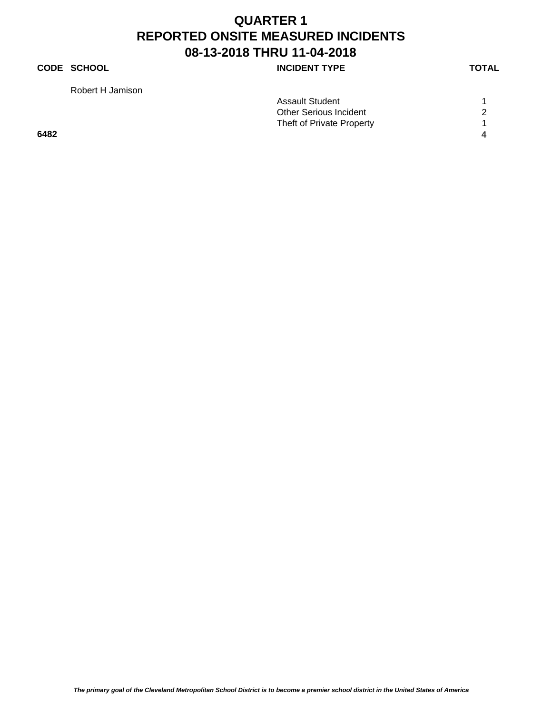## **CODE SCHOOL INCIDENT TYPE**

Robert H Jamison

|      | <b>Assault Student</b>        |   |
|------|-------------------------------|---|
|      | <b>Other Serious Incident</b> | 2 |
|      | Theft of Private Property     |   |
| 6482 |                               | 4 |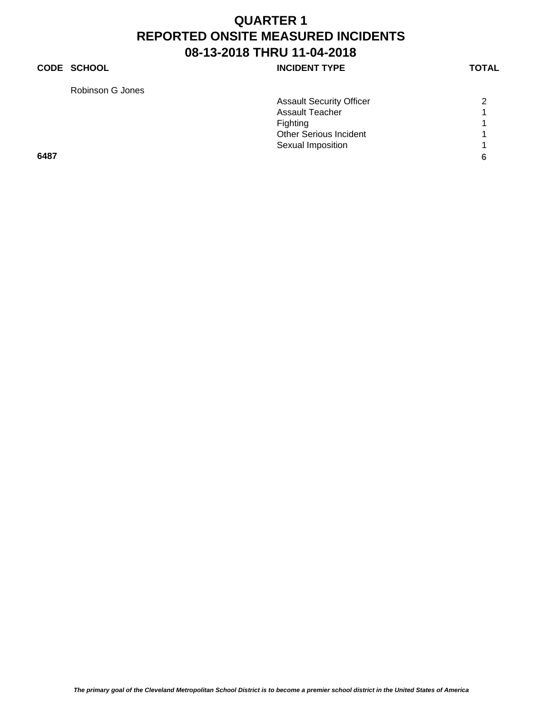## **CODE SCHOOL CODE SCHOOL**

Robinson G Jones

| Robinson G Jones |                                 |   |
|------------------|---------------------------------|---|
|                  | <b>Assault Security Officer</b> | ◠ |
|                  | <b>Assault Teacher</b>          |   |
|                  | Fighting                        |   |
|                  | <b>Other Serious Incident</b>   |   |
|                  | Sexual Imposition               |   |
| 6487             |                                 |   |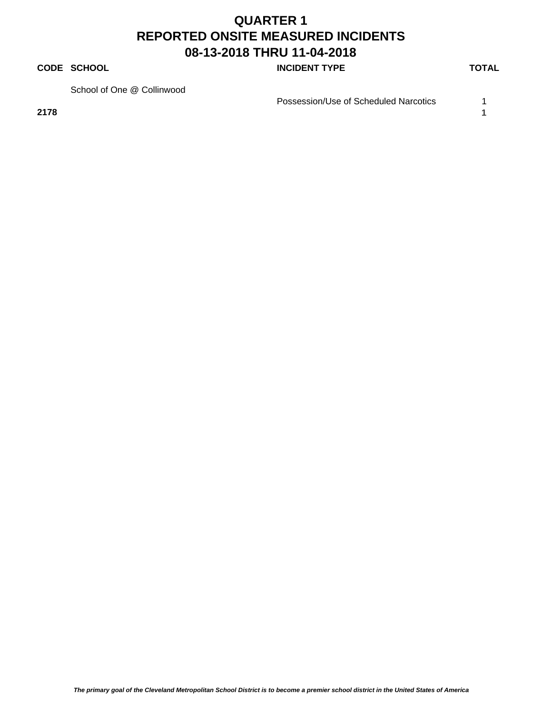#### **CODE SCHOOL CODE SCHOOL**

School of One @ Collinwood

Possession/Use of Scheduled Narcotics 1

**2178 1**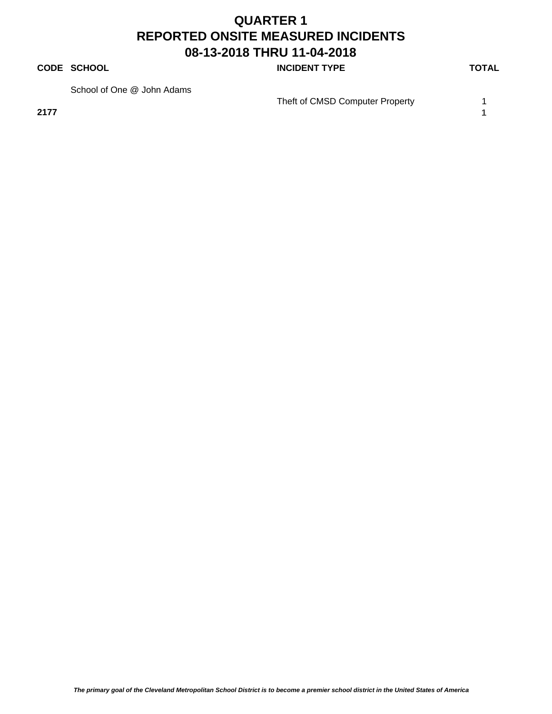#### **CODE SCHOOL CODE SCHOOL**

School of One @ John Adams

Theft of CMSD Computer Property 1

**2177 1**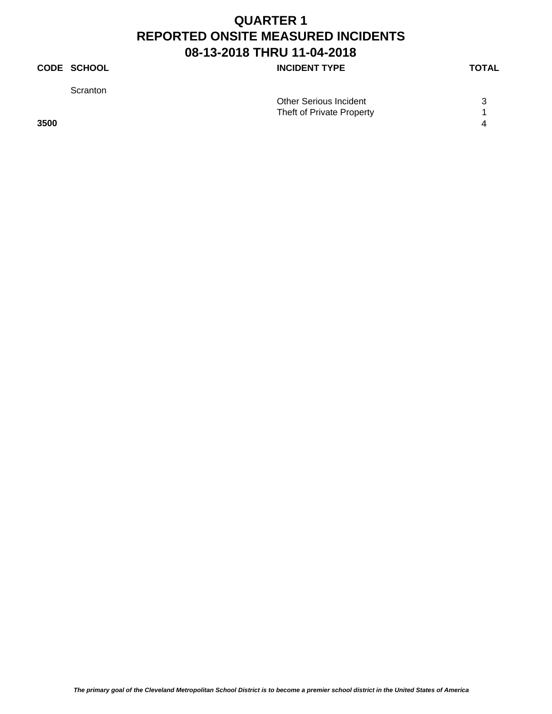## **CODE SCHOOL CODE SCHOOL**

**Scranton** 

|      | <b>Other Serious Incident</b> | ⌒ |
|------|-------------------------------|---|
|      | Theft of Private Property     |   |
| 3500 |                               |   |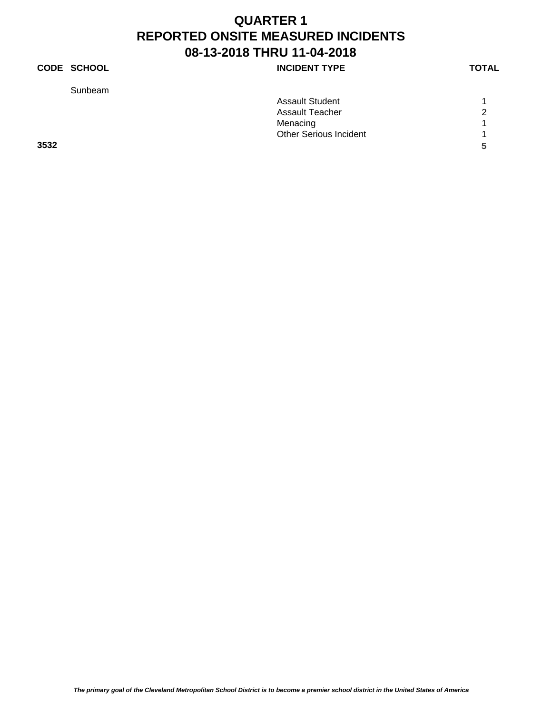## **CODE SCHOOL CODE SCHOOL INCIDENT TYPE TOTAL**

Sunbeam

|  |        |  | I |
|--|--------|--|---|
|  | ٧<br>× |  |   |

|      | <b>Assault Student</b>        |               |
|------|-------------------------------|---------------|
|      | <b>Assault Teacher</b>        | $\mathcal{P}$ |
|      | Menacing                      |               |
|      | <b>Other Serious Incident</b> |               |
| 3532 |                               | 5             |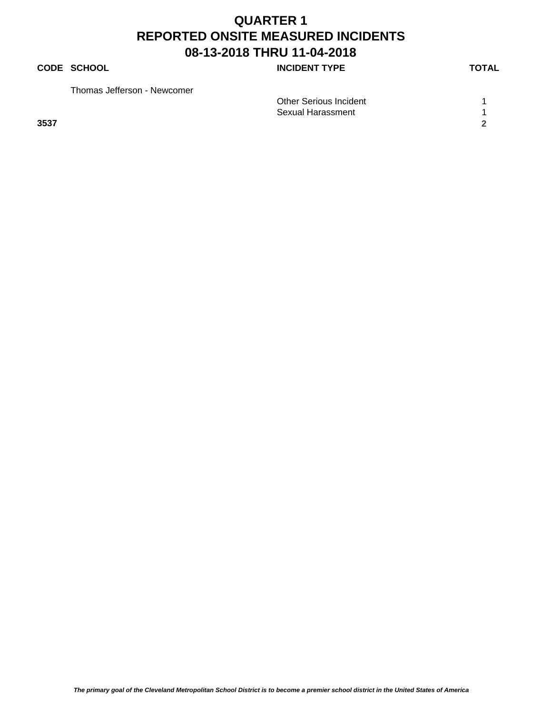### **CODE SCHOOL CODE SCHOOL**

Thomas Jefferson - Newcomer

| Homas Jenerson - Newcomer |                               |  |
|---------------------------|-------------------------------|--|
|                           | <b>Other Serious Incident</b> |  |
|                           | Sexual Harassment             |  |
| 3537                      |                               |  |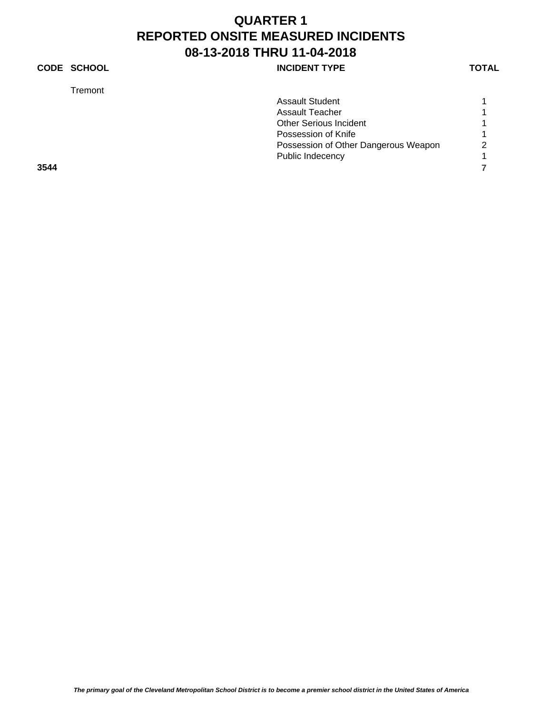## **CODE SCHOOL CODE SCHOOL**

Tremont

| remont) |                                      |                |
|---------|--------------------------------------|----------------|
|         | <b>Assault Student</b>               |                |
|         | Assault Teacher                      |                |
|         | <b>Other Serious Incident</b>        |                |
|         | Possession of Knife                  |                |
|         | Possession of Other Dangerous Weapon | $\overline{2}$ |
|         | Public Indecency                     |                |
| 3544    |                                      |                |
|         |                                      |                |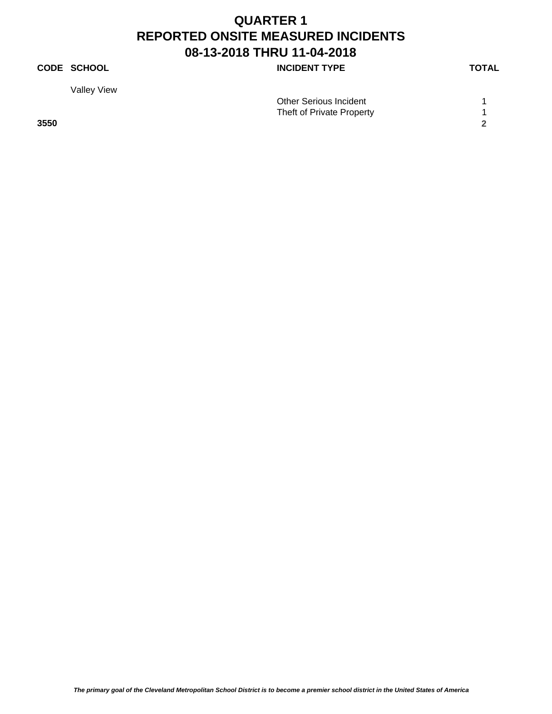## **CODE SCHOOL CODE SCHOOL**

Valley View

|      | Other Serious Incident    |  |
|------|---------------------------|--|
|      | Theft of Private Property |  |
| 3550 |                           |  |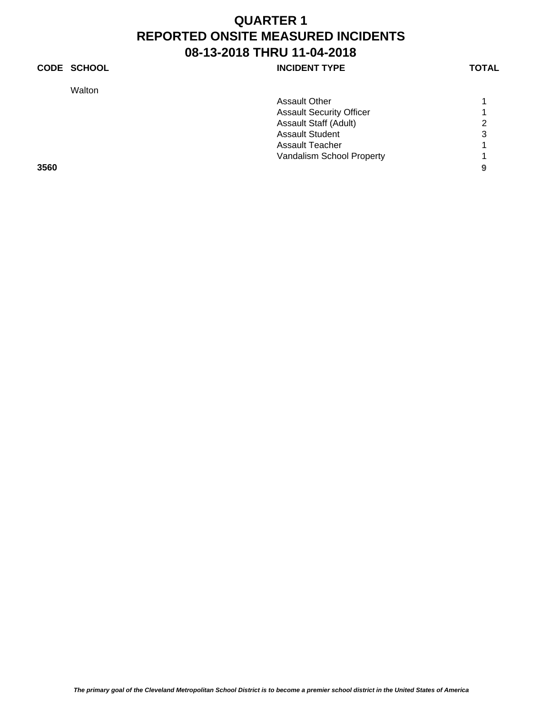**Walton** 

| <b>CODE SCHOOL</b> | <b>INCIDENT TYPE</b> | <b>TOTAL</b> |
|--------------------|----------------------|--------------|
|                    |                      |              |

| .    |                                 |                |
|------|---------------------------------|----------------|
|      | <b>Assault Other</b>            |                |
|      | <b>Assault Security Officer</b> |                |
|      | <b>Assault Staff (Adult)</b>    | 2              |
|      | <b>Assault Student</b>          | 3              |
|      | Assault Teacher                 |                |
|      | Vandalism School Property       | $\overline{1}$ |
| 3560 |                                 | 9              |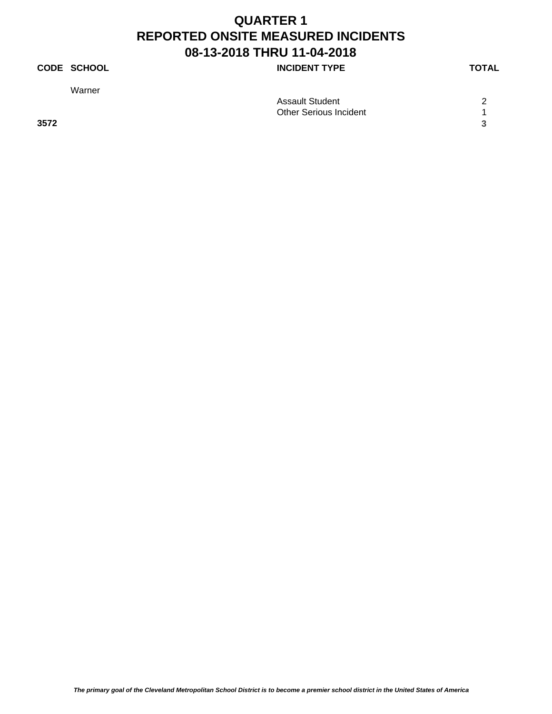## **CODE SCHOOL CODE SCHOOL**

Warner

|      | Assault Student               | ◠ |
|------|-------------------------------|---|
|      | <b>Other Serious Incident</b> |   |
| 3572 |                               | ີ |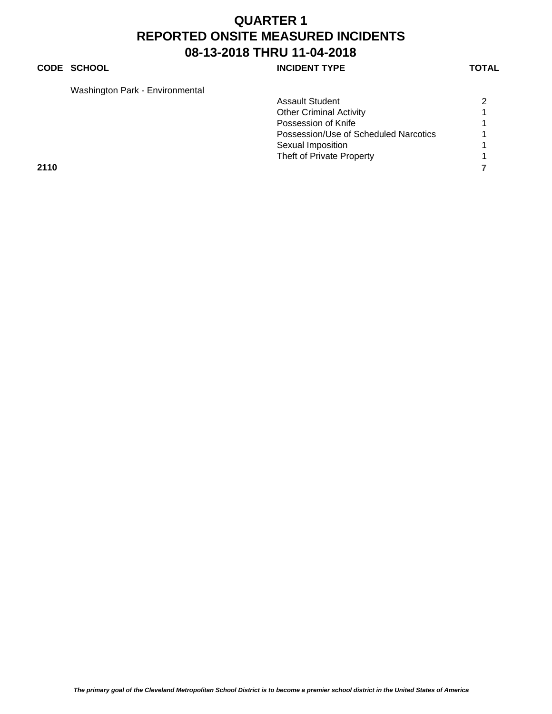### **CODE SCHOOL CODE SCHOOL**

Washington Park - Environmental

| washington Park - Environmental |                                       |   |
|---------------------------------|---------------------------------------|---|
|                                 | <b>Assault Student</b>                | 2 |
|                                 | <b>Other Criminal Activity</b>        |   |
|                                 | Possession of Knife                   |   |
|                                 | Possession/Use of Scheduled Narcotics |   |
|                                 | Sexual Imposition                     |   |
|                                 | Theft of Private Property             |   |
| 2110                            |                                       |   |
|                                 |                                       |   |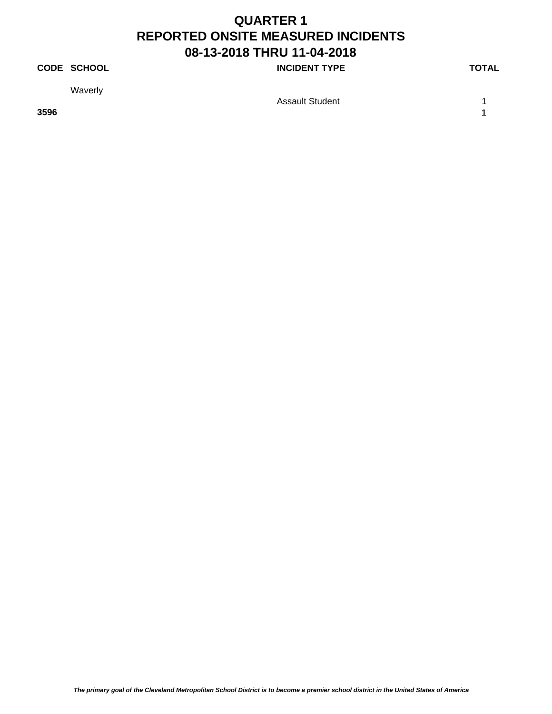## **CODE SCHOOL CODE SCHOOL**

Waverly

**3596 1**

Assault Student 1 1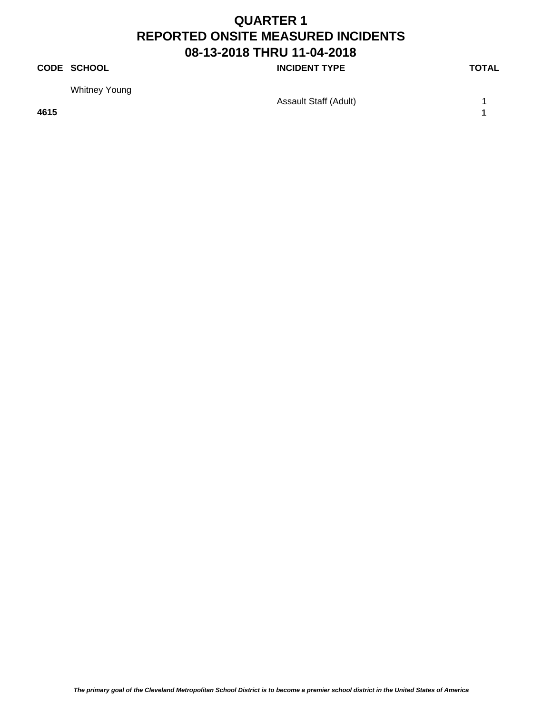## **CODE SCHOOL CODE SCHOOL**

Whitney Young

Assault Staff (Adult) 1

**4615 1**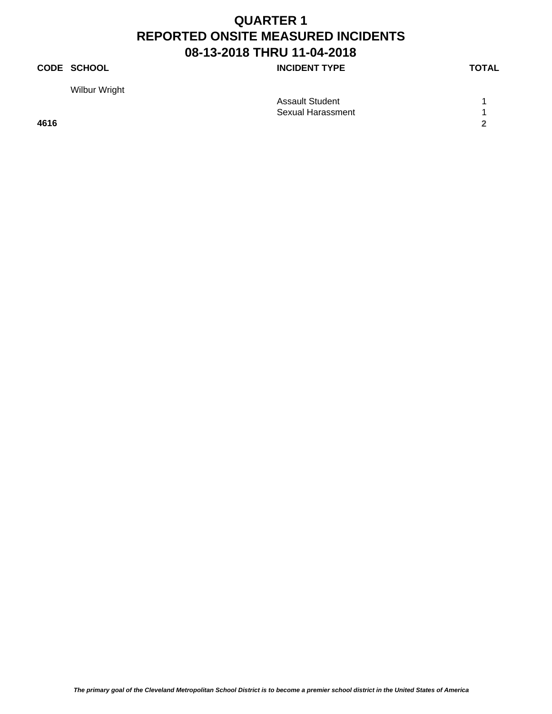## **CODE SCHOOL CODE SCHOOL**

Wilbur Wright

|      | Assault Student   |  |
|------|-------------------|--|
|      | Sexual Harassment |  |
| 4616 |                   |  |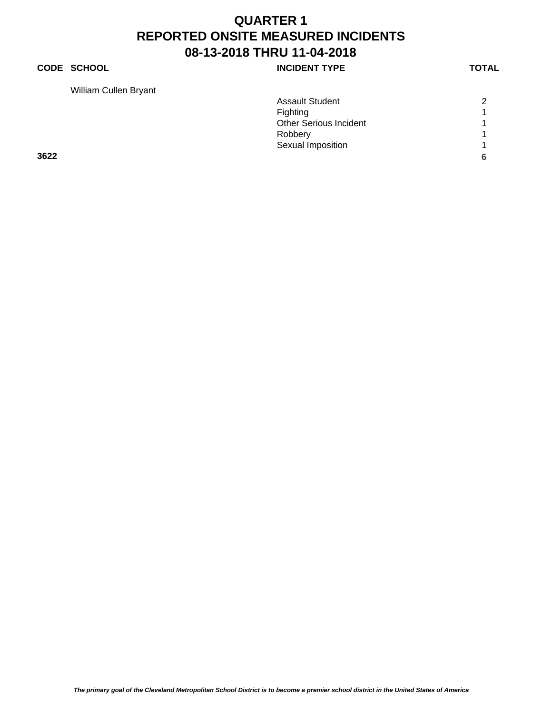## **CODE SCHOOL INCIDENT TYPE**

William Cullen Bryant

|      | <b>Assault Student</b>        | 2                    |
|------|-------------------------------|----------------------|
|      | Fighting                      | $\blacktriangleleft$ |
|      | <b>Other Serious Incident</b> |                      |
|      | Robbery                       | $\overline{ }$       |
|      | Sexual Imposition             | $\overline{ }$       |
| 3622 |                               | 6                    |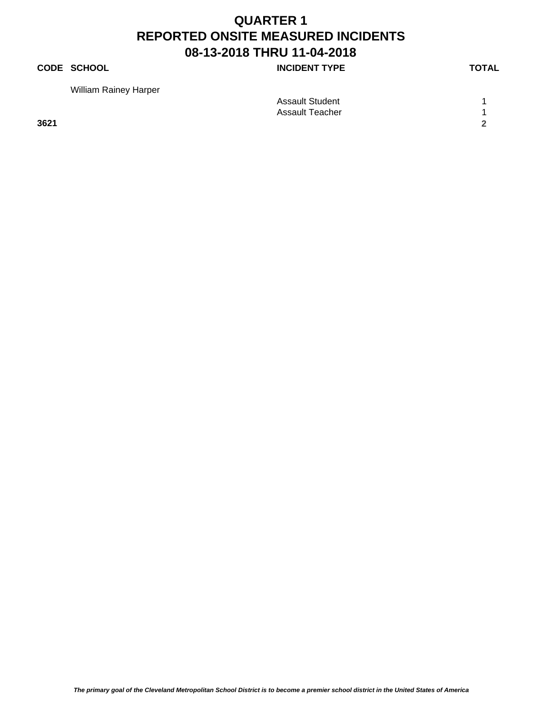### **CODE SCHOOL CODE SCHOOL**

William Rainey Harper

| $\cdots$ |                        |  |
|----------|------------------------|--|
|          | <b>Assault Student</b> |  |
|          | Assault Teacher        |  |
| 3621     |                        |  |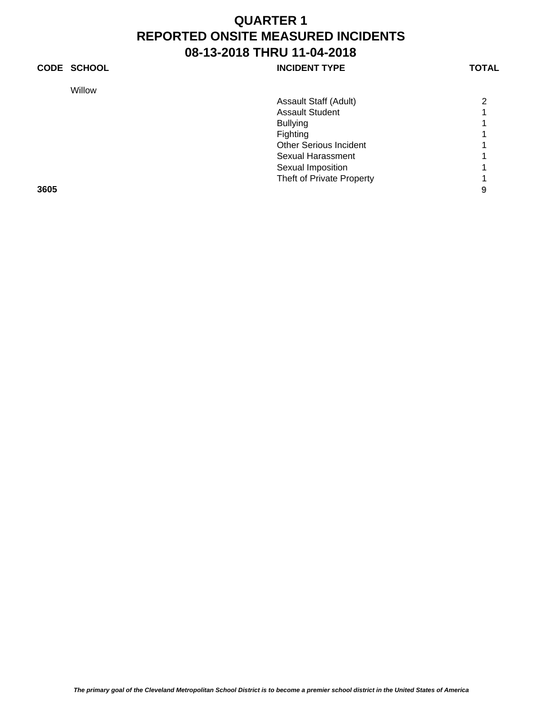### **CODE SCHOOL CODE SCHOOL**

Willow

|      | Assault Staff (Adult)         | $\overline{2}$ |
|------|-------------------------------|----------------|
|      | <b>Assault Student</b>        |                |
|      | <b>Bullying</b>               |                |
|      | Fighting                      |                |
|      | <b>Other Serious Incident</b> |                |
|      | <b>Sexual Harassment</b>      |                |
|      | Sexual Imposition             |                |
|      | Theft of Private Property     |                |
| 3605 |                               | 9              |
|      |                               |                |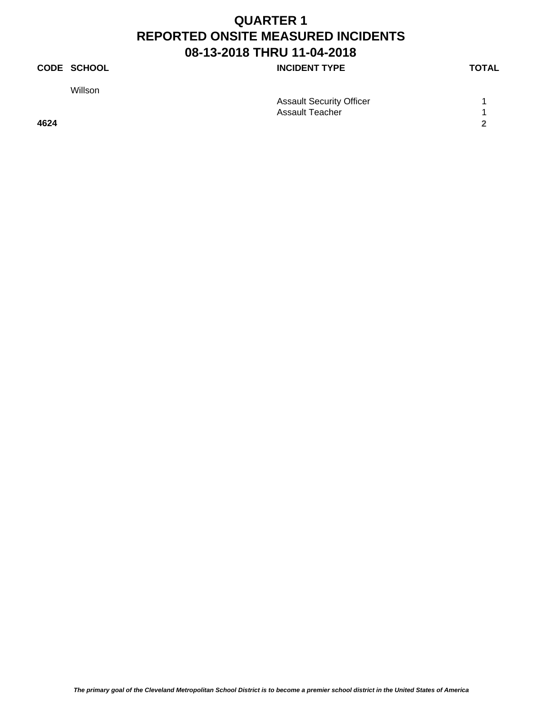## **CODE SCHOOL CODE SCHOOL**

Willson

| .    |                                 |  |
|------|---------------------------------|--|
|      | <b>Assault Security Officer</b> |  |
|      | Assault Teacher                 |  |
| 4624 |                                 |  |